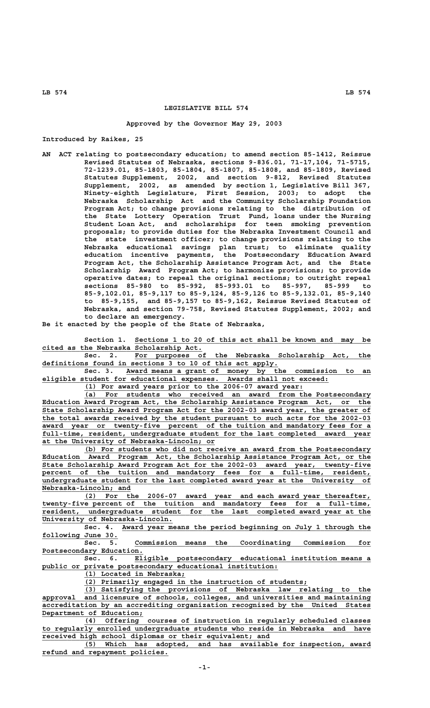## **LEGISLATIVE BILL 574**

## **Approved by the Governor May 29, 2003**

**Introduced by Raikes, 25**

**AN ACT relating to postsecondary education; to amend section 85-1412, Reissue Revised Statutes of Nebraska, sections 9-836.01, 71-17,104, 71-5715, 72-1239.01, 85-1803, 85-1804, 85-1807, 85-1808, and 85-1809, Revised Statutes Supplement, 2002, and section 9-812, Revised Statutes Supplement, 2002, as amended by section 1, Legislative Bill 367, Ninety-eighth Legislature, First Session, 2003; to adopt the Nebraska Scholarship Act and the Community Scholarship Foundation Program Act; to change provisions relating to the distribution of the State Lottery Operation Trust Fund, loans under the Nursing Student Loan Act, and scholarships for teen smoking prevention proposals; to provide duties for the Nebraska Investment Council and the state investment officer; to change provisions relating to the Nebraska educational savings plan trust; to eliminate quality education incentive payments, the Postsecondary Education Award Program Act, the Scholarship Assistance Program Act, and the State Scholarship Award Program Act; to harmonize provisions; to provide operative dates; to repeal the original sections; to outright repeal sections 85-980 to 85-992, 85-993.01 to 85-997, 85-999 to 85-9,102.01, 85-9,117 to 85-9,124, 85-9,126 to 85-9,132.01, 85-9,140 to 85-9,155, and 85-9,157 to 85-9,162, Reissue Revised Statutes of Nebraska, and section 79-758, Revised Statutes Supplement, 2002; and to declare an emergency.**

**Be it enacted by the people of the State of Nebraska,**

 **\_\_\_\_\_\_\_\_\_\_\_\_\_\_\_\_\_\_\_\_\_\_\_\_\_\_\_\_\_\_\_\_\_\_\_\_\_\_\_\_\_\_\_\_\_\_\_\_\_\_\_\_\_\_\_\_ Section 1. Sections 1 to 20 of this act shall be known and may be \_\_\_\_\_\_\_\_\_\_\_\_\_\_\_\_\_\_\_\_\_\_\_\_\_\_\_\_\_\_\_\_\_\_\_\_\_\_ cited as the Nebraska Scholarship Act.**

Sec. 2. For purposes of the Nebraska Scholarship Act, the  **\_\_\_\_\_\_\_\_\_\_\_\_\_\_\_\_\_\_\_\_\_\_\_\_\_\_\_\_\_\_\_\_\_\_\_\_\_\_\_\_\_\_\_\_\_\_\_\_\_\_\_\_\_\_\_\_ definitions found in sections 3 to 10 of this act apply.**

 **\_\_\_\_\_\_\_\_\_\_\_\_\_\_\_\_\_\_\_\_\_\_\_\_\_\_\_\_\_\_\_\_\_\_\_\_\_\_\_\_\_\_\_\_\_\_\_\_\_\_\_\_\_\_\_\_\_\_ Sec. 3. Award means a grant of money by the commission to an \_\_\_\_\_\_\_\_\_\_\_\_\_\_\_\_\_\_\_\_\_\_\_\_\_\_\_\_\_\_\_\_\_\_\_\_\_\_\_\_\_\_\_\_\_\_\_\_\_\_\_\_\_\_\_\_\_\_\_\_\_\_\_\_\_\_\_\_ eligible student for educational expenses. Awards shall not exceed:**

 **\_\_\_\_\_\_\_\_\_\_\_\_\_\_\_\_\_\_\_\_\_\_\_\_\_\_\_\_\_\_\_\_\_\_\_\_\_\_\_\_\_\_\_\_\_\_\_\_\_\_\_\_ (1) For award years prior to the 2006-07 award year:**

 **\_\_\_\_\_\_\_\_\_\_\_\_\_\_\_\_\_\_\_\_\_\_\_\_\_\_\_\_\_\_\_\_\_\_\_\_\_\_\_\_\_\_\_\_\_\_\_\_\_\_\_\_\_\_\_\_\_\_\_\_\_\_\_\_\_\_\_\_ (a) For students who received an award from the Postsecondary \_\_\_\_\_\_\_\_\_\_\_\_\_\_\_\_\_\_\_\_\_\_\_\_\_\_\_\_\_\_\_\_\_\_\_\_\_\_\_\_\_\_\_\_\_\_\_\_\_\_\_\_\_\_\_\_\_\_\_\_\_\_\_\_\_\_\_\_\_\_\_\_\_\_\_\_\_\_ Education Award Program Act, the Scholarship Assistance Program Act, or the \_\_\_\_\_\_\_\_\_\_\_\_\_\_\_\_\_\_\_\_\_\_\_\_\_\_\_\_\_\_\_\_\_\_\_\_\_\_\_\_\_\_\_\_\_\_\_\_\_\_\_\_\_\_\_\_\_\_\_\_\_\_\_\_\_\_\_\_\_\_\_\_\_\_\_\_\_\_ State Scholarship Award Program Act for the 2002-03 award year, the greater of \_\_\_\_\_\_\_\_\_\_\_\_\_\_\_\_\_\_\_\_\_\_\_\_\_\_\_\_\_\_\_\_\_\_\_\_\_\_\_\_\_\_\_\_\_\_\_\_\_\_\_\_\_\_\_\_\_\_\_\_\_\_\_\_\_\_\_\_\_\_\_\_\_\_\_\_\_\_ the total awards received by the student pursuant to such acts for the 2002-03** award year or twenty-five percent of the tuition and mandatory fees for a  **\_\_\_\_\_\_\_\_\_\_\_\_\_\_\_\_\_\_\_\_\_\_\_\_\_\_\_\_\_\_\_\_\_\_\_\_\_\_\_\_\_\_\_\_\_\_\_\_\_\_\_\_\_\_\_\_\_\_\_\_\_\_\_\_\_\_\_\_\_\_\_\_\_\_\_\_\_\_ full-time, resident, undergraduate student for the last completed award year \_\_\_\_\_\_\_\_\_\_\_\_\_\_\_\_\_\_\_\_\_\_\_\_\_\_\_\_\_\_\_\_\_\_\_\_\_\_\_\_\_ at the University of Nebraska-Lincoln; or**

 **\_\_\_\_\_\_\_\_\_\_\_\_\_\_\_\_\_\_\_\_\_\_\_\_\_\_\_\_\_\_\_\_\_\_\_\_\_\_\_\_\_\_\_\_\_\_\_\_\_\_\_\_\_\_\_\_\_\_\_\_\_\_\_\_\_\_\_\_ (b) For students who did not receive an award from the Postsecondary \_\_\_\_\_\_\_\_\_\_\_\_\_\_\_\_\_\_\_\_\_\_\_\_\_\_\_\_\_\_\_\_\_\_\_\_\_\_\_\_\_\_\_\_\_\_\_\_\_\_\_\_\_\_\_\_\_\_\_\_\_\_\_\_\_\_\_\_\_\_\_\_\_\_\_\_\_\_ Education Award Program Act, the Scholarship Assistance Program Act, or the \_\_\_\_\_\_\_\_\_\_\_\_\_\_\_\_\_\_\_\_\_\_\_\_\_\_\_\_\_\_\_\_\_\_\_\_\_\_\_\_\_\_\_\_\_\_\_\_\_\_\_\_\_\_\_\_\_\_\_\_\_\_\_\_\_\_\_\_\_\_\_\_\_\_\_\_\_\_ State Scholarship Award Program Act for the 2002-03 award year, twenty-five** percent of the tuition and mandatory fees for a full-time, resident,  **\_\_\_\_\_\_\_\_\_\_\_\_\_\_\_\_\_\_\_\_\_\_\_\_\_\_\_\_\_\_\_\_\_\_\_\_\_\_\_\_\_\_\_\_\_\_\_\_\_\_\_\_\_\_\_\_\_\_\_\_\_\_\_\_\_\_\_\_\_\_\_\_\_\_\_\_\_\_ undergraduate student for the last completed award year at the University of Nebraska-Lincoln; and \_\_\_\_\_\_\_\_\_\_\_\_\_\_\_\_\_\_\_\_\_**

 **\_\_\_\_\_\_\_\_\_\_\_\_\_\_\_\_\_\_\_\_\_\_\_\_\_\_\_\_\_\_\_\_\_\_\_\_\_\_\_\_\_\_\_\_\_\_\_\_\_\_\_\_\_\_\_\_\_\_\_\_\_\_\_\_\_\_\_\_ (2) For the 2006-07 award year and each award year thereafter, \_\_\_\_\_\_\_\_\_\_\_\_\_\_\_\_\_\_\_\_\_\_\_\_\_\_\_\_\_\_\_\_\_\_\_\_\_\_\_\_\_\_\_\_\_\_\_\_\_\_\_\_\_\_\_\_\_\_\_\_\_\_\_\_\_\_\_\_\_\_\_\_\_\_\_\_\_\_ twenty-five percent of the tuition and mandatory fees for a full-time, \_\_\_\_\_\_\_\_\_\_\_\_\_\_\_\_\_\_\_\_\_\_\_\_\_\_\_\_\_\_\_\_\_\_\_\_\_\_\_\_\_\_\_\_\_\_\_\_\_\_\_\_\_\_\_\_\_\_\_\_\_\_\_\_\_\_\_\_\_\_\_\_\_\_\_\_\_\_ resident, undergraduate student for the last completed award year at the \_\_\_\_\_\_\_\_\_\_\_\_\_\_\_\_\_\_\_\_\_\_\_\_\_\_\_\_\_\_\_ University of Nebraska-Lincoln.**

Sec. 4. Award year means the period beginning on July 1 through the  **\_\_\_\_\_\_\_\_\_\_\_\_\_\_\_\_\_\_ following June 30.**

 **\_\_\_\_\_\_\_\_\_\_\_\_\_\_\_\_\_\_\_\_\_\_\_\_\_\_\_\_\_\_\_\_\_\_\_\_\_\_\_\_\_\_\_\_\_\_\_\_\_\_\_\_\_\_\_\_ Sec. 5. Commission means the Coordinating Commission for Postsecondary Education. \_\_\_\_\_\_\_\_\_\_\_\_\_\_\_\_\_\_\_\_\_\_\_\_**

 **\_\_\_\_\_\_\_\_\_\_\_\_\_\_\_\_\_\_\_\_\_\_\_\_\_\_\_\_\_\_\_\_\_\_\_\_\_\_\_\_\_\_\_\_\_\_\_\_\_\_\_\_\_\_\_\_ Sec. 6. Eligible postsecondary educational institution means a \_\_\_\_\_\_\_\_\_\_\_\_\_\_\_\_\_\_\_\_\_\_\_\_\_\_\_\_\_\_\_\_\_\_\_\_\_\_\_\_\_\_\_\_\_\_\_\_\_\_\_\_\_\_\_\_ public or private postsecondary educational institution:**

 **\_\_\_\_\_\_\_\_\_\_\_\_\_\_\_\_\_\_\_\_\_\_\_\_ (1) Located in Nebraska;**

 **\_\_\_\_\_\_\_\_\_\_\_\_\_\_\_\_\_\_\_\_\_\_\_\_\_\_\_\_\_\_\_\_\_\_\_\_\_\_\_\_\_\_\_\_\_\_\_\_\_\_\_\_\_ (2) Primarily engaged in the instruction of students;**

 **\_\_\_\_\_\_\_\_\_\_\_\_\_\_\_\_\_\_\_\_\_\_\_\_\_\_\_\_\_\_\_\_\_\_\_\_\_\_\_\_\_\_\_\_\_\_\_\_\_\_\_\_\_\_\_\_\_\_\_\_\_\_\_\_\_\_\_\_ (3) Satisfying the provisions of Nebraska law relating to the \_\_\_\_\_\_\_\_\_\_\_\_\_\_\_\_\_\_\_\_\_\_\_\_\_\_\_\_\_\_\_\_\_\_\_\_\_\_\_\_\_\_\_\_\_\_\_\_\_\_\_\_\_\_\_\_\_\_\_\_\_\_\_\_\_\_\_\_\_\_\_\_\_\_\_\_\_\_ approval and licensure of schools, colleges, and universities and maintaining \_\_\_\_\_\_\_\_\_\_\_\_\_\_\_\_\_\_\_\_\_\_\_\_\_\_\_\_\_\_\_\_\_\_\_\_\_\_\_\_\_\_\_\_\_\_\_\_\_\_\_\_\_\_\_\_\_\_\_\_\_\_\_\_\_\_\_\_\_\_\_\_\_\_\_\_\_\_ accreditation by an accrediting organization recognized by the United States Department of Education;**<br>(4) Offering

 **\_\_\_\_\_\_\_\_\_\_\_\_\_\_\_\_\_\_\_\_\_\_\_\_\_\_\_\_\_\_\_\_\_\_\_\_\_\_\_\_\_\_\_\_\_\_\_\_\_\_\_\_\_\_\_\_\_\_\_\_\_\_\_\_\_\_\_\_ (4) Offering courses of instruction in regularly scheduled classes \_\_\_\_\_\_\_\_\_\_\_\_\_\_\_\_\_\_\_\_\_\_\_\_\_\_\_\_\_\_\_\_\_\_\_\_\_\_\_\_\_\_\_\_\_\_\_\_\_\_\_\_\_\_\_\_\_\_\_\_\_\_\_\_\_\_\_\_\_\_\_\_\_\_\_\_\_\_ to regularly enrolled undergraduate students who reside in Nebraska and have \_\_\_\_\_\_\_\_\_\_\_\_\_\_\_\_\_\_\_\_\_\_\_\_\_\_\_\_\_\_\_\_\_\_\_\_\_\_\_\_\_\_\_\_\_\_\_\_\_\_\_\_\_\_ received high school diplomas or their equivalent; and**

 **\_\_\_\_\_\_\_\_\_\_\_\_\_\_\_\_\_\_\_\_\_\_\_\_\_\_\_\_\_\_\_\_\_\_\_\_\_\_\_\_\_\_\_\_\_\_\_\_\_\_\_\_\_\_\_\_\_\_\_\_\_\_\_\_\_\_\_\_ (5) Which has adopted, and has available for inspection, award \_\_\_\_\_\_\_\_\_\_\_\_\_\_\_\_\_\_\_\_\_\_\_\_\_\_\_\_\_\_ refund and repayment policies.**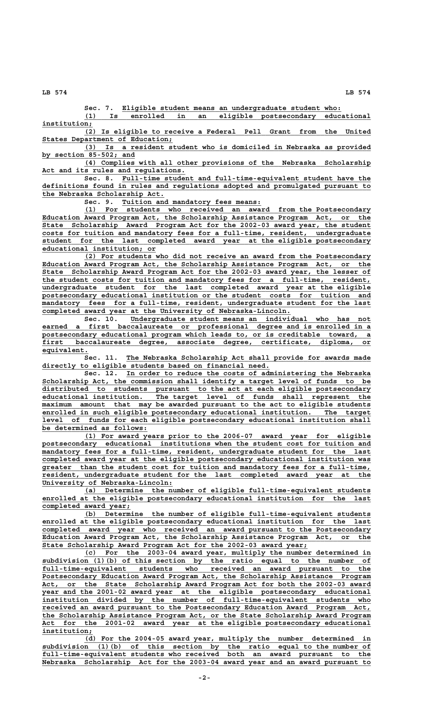**\_\_\_\_\_\_\_\_\_\_\_\_\_\_\_\_\_\_\_\_\_\_\_\_\_\_\_\_\_\_\_\_\_\_\_\_\_\_\_\_\_\_\_\_\_\_\_\_\_\_\_\_ Sec. 7. Eligible student means an undergraduate student who:**

 **\_\_\_\_\_\_\_\_\_\_\_\_\_\_\_\_\_\_\_\_\_\_\_\_\_\_\_\_\_\_\_\_\_\_\_\_\_\_\_\_\_\_\_\_\_\_\_\_\_\_\_\_\_\_\_\_\_\_\_\_\_\_\_\_\_\_\_\_ (1) Is enrolled in an eligible postsecondary educational** institution;

 **\_\_\_\_\_\_\_\_\_\_\_\_\_\_\_\_\_\_\_\_\_\_\_\_\_\_\_\_\_\_\_\_\_\_\_\_\_\_\_\_\_\_\_\_\_\_\_\_\_\_\_\_\_\_\_\_\_\_\_\_\_\_\_\_\_\_\_\_ (2) Is eligible to receive a Federal Pell Grant from the United \_\_\_\_\_\_\_\_\_\_\_\_\_\_\_\_\_\_\_\_\_\_\_\_\_\_\_\_\_\_\_ States Department of Education;**

 **\_\_\_\_\_\_\_\_\_\_\_\_\_\_\_\_\_\_\_\_\_\_\_\_\_\_\_\_\_\_\_\_\_\_\_\_\_\_\_\_\_\_\_\_\_\_\_\_\_\_\_\_\_\_\_\_\_\_\_\_\_\_\_\_\_\_\_\_ (3) Is a resident student who is domiciled in Nebraska as provided \_\_\_\_\_\_\_\_\_\_\_\_\_\_\_\_\_\_\_\_\_\_ by section 85-502; and**

 **\_\_\_\_\_\_\_\_\_\_\_\_\_\_\_\_\_\_\_\_\_\_\_\_\_\_\_\_\_\_\_\_\_\_\_\_\_\_\_\_\_\_\_\_\_\_\_\_\_\_\_\_\_\_\_\_\_\_\_\_\_\_\_\_\_\_\_\_ (4) Complies with all other provisions of the Nebraska Scholarship \_\_\_\_\_\_\_\_\_\_\_\_\_\_\_\_\_\_\_\_\_\_\_\_\_\_\_\_\_\_\_\_\_\_ Act and its rules and regulations.**

 **\_\_\_\_\_\_\_\_\_\_\_\_\_\_\_\_\_\_\_\_\_\_\_\_\_\_\_\_\_\_\_\_\_\_\_\_\_\_\_\_\_\_\_\_\_\_\_\_\_\_\_\_\_\_\_\_\_\_\_ Sec. 8. Full-time student and full-time-equivalent student have the \_\_\_\_\_\_\_\_\_\_\_\_\_\_\_\_\_\_\_\_\_\_\_\_\_\_\_\_\_\_\_\_\_\_\_\_\_\_\_\_\_\_\_\_\_\_\_\_\_\_\_\_\_\_\_\_\_\_\_\_\_\_\_\_\_\_\_\_\_\_\_\_\_\_\_\_\_\_ definitions found in rules and regulations adopted and promulgated pursuant to \_\_\_\_\_\_\_\_\_\_\_\_\_\_\_\_\_\_\_\_\_\_\_\_\_\_\_\_\_ the Nebraska Scholarship Act.**

 **\_\_\_\_\_\_\_\_\_\_\_\_\_\_\_\_\_\_\_\_\_\_\_\_\_\_\_\_\_\_\_\_\_ Sec. 9. Tuition and mandatory fees means:**

 **\_\_\_\_\_\_\_\_\_\_\_\_\_\_\_\_\_\_\_\_\_\_\_\_\_\_\_\_\_\_\_\_\_\_\_\_\_\_\_\_\_\_\_\_\_\_\_\_\_\_\_\_\_\_\_\_\_\_\_\_\_\_\_\_\_\_\_\_ (1) For students who received an award from the Postsecondary \_\_\_\_\_\_\_\_\_\_\_\_\_\_\_\_\_\_\_\_\_\_\_\_\_\_\_\_\_\_\_\_\_\_\_\_\_\_\_\_\_\_\_\_\_\_\_\_\_\_\_\_\_\_\_\_\_\_\_\_\_\_\_\_\_\_\_\_\_\_\_\_\_\_\_\_\_\_ Education Award Program Act, the Scholarship Assistance Program Act, or the \_\_\_\_\_\_\_\_\_\_\_\_\_\_\_\_\_\_\_\_\_\_\_\_\_\_\_\_\_\_\_\_\_\_\_\_\_\_\_\_\_\_\_\_\_\_\_\_\_\_\_\_\_\_\_\_\_\_\_\_\_\_\_\_\_\_\_\_\_\_\_\_\_\_\_\_\_\_ State Scholarship Award Program Act for the 2002-03 award year, the student \_\_\_\_\_\_\_\_\_\_\_\_\_\_\_\_\_\_\_\_\_\_\_\_\_\_\_\_\_\_\_\_\_\_\_\_\_\_\_\_\_\_\_\_\_\_\_\_\_\_\_\_\_\_\_\_\_\_\_\_\_\_\_\_\_\_\_\_\_\_\_\_\_\_\_\_\_\_ costs for tuition and mandatory fees for a full-time, resident, undergraduate \_\_\_\_\_\_\_\_\_\_\_\_\_\_\_\_\_\_\_\_\_\_\_\_\_\_\_\_\_\_\_\_\_\_\_\_\_\_\_\_\_\_\_\_\_\_\_\_\_\_\_\_\_\_\_\_\_\_\_\_\_\_\_\_\_\_\_\_\_\_\_\_\_\_\_\_\_\_ student for the last completed award year at the eligible postsecondary \_\_\_\_\_\_\_\_\_\_\_\_\_\_\_\_\_\_\_\_\_\_\_\_\_\_\_ educational institution; or**

 **\_\_\_\_\_\_\_\_\_\_\_\_\_\_\_\_\_\_\_\_\_\_\_\_\_\_\_\_\_\_\_\_\_\_\_\_\_\_\_\_\_\_\_\_\_\_\_\_\_\_\_\_\_\_\_\_\_\_\_\_\_\_\_\_\_\_\_\_ (2) For students who did not receive an award from the Postsecondary \_\_\_\_\_\_\_\_\_\_\_\_\_\_\_\_\_\_\_\_\_\_\_\_\_\_\_\_\_\_\_\_\_\_\_\_\_\_\_\_\_\_\_\_\_\_\_\_\_\_\_\_\_\_\_\_\_\_\_\_\_\_\_\_\_\_\_\_\_\_\_\_\_\_\_\_\_\_ Education Award Program Act, the Scholarship Assistance Program Act, or the \_\_\_\_\_\_\_\_\_\_\_\_\_\_\_\_\_\_\_\_\_\_\_\_\_\_\_\_\_\_\_\_\_\_\_\_\_\_\_\_\_\_\_\_\_\_\_\_\_\_\_\_\_\_\_\_\_\_\_\_\_\_\_\_\_\_\_\_\_\_\_\_\_\_\_\_\_\_ State Scholarship Award Program Act for the 2002-03 award year, the lesser of \_\_\_\_\_\_\_\_\_\_\_\_\_\_\_\_\_\_\_\_\_\_\_\_\_\_\_\_\_\_\_\_\_\_\_\_\_\_\_\_\_\_\_\_\_\_\_\_\_\_\_\_\_\_\_\_\_\_\_\_\_\_\_\_\_\_\_\_\_\_\_\_\_\_\_\_\_\_ the student costs for tuition and mandatory fees for a full-time, resident, \_\_\_\_\_\_\_\_\_\_\_\_\_\_\_\_\_\_\_\_\_\_\_\_\_\_\_\_\_\_\_\_\_\_\_\_\_\_\_\_\_\_\_\_\_\_\_\_\_\_\_\_\_\_\_\_\_\_\_\_\_\_\_\_\_\_\_\_\_\_\_\_\_\_\_\_\_\_ undergraduate student for the last completed award year at the eligible \_\_\_\_\_\_\_\_\_\_\_\_\_\_\_\_\_\_\_\_\_\_\_\_\_\_\_\_\_\_\_\_\_\_\_\_\_\_\_\_\_\_\_\_\_\_\_\_\_\_\_\_\_\_\_\_\_\_\_\_\_\_\_\_\_\_\_\_\_\_\_\_\_\_\_\_\_\_ postsecondary educational institution or the student costs for tuition and**  $m$ andatory fees for a full-time, resident, undergraduate student for the last  **\_\_\_\_\_\_\_\_\_\_\_\_\_\_\_\_\_\_\_\_\_\_\_\_\_\_\_\_\_\_\_\_\_\_\_\_\_\_\_\_\_\_\_\_\_\_\_\_\_\_\_\_\_\_\_\_\_\_\_ completed award year at the University of Nebraska-Lincoln.**

 **\_\_\_\_\_\_\_\_\_\_\_\_\_\_\_\_\_\_\_\_\_\_\_\_\_\_\_\_\_\_\_\_\_\_\_\_\_\_\_\_\_\_\_\_\_\_\_\_\_\_\_\_\_\_\_\_\_ Sec. 10. Undergraduate student means an individual who has not \_\_\_\_\_\_\_\_\_\_\_\_\_\_\_\_\_\_\_\_\_\_\_\_\_\_\_\_\_\_\_\_\_\_\_\_\_\_\_\_\_\_\_\_\_\_\_\_\_\_\_\_\_\_\_\_\_\_\_\_\_\_\_\_\_\_\_\_\_\_\_\_\_\_\_\_\_\_ earned a first baccalaureate or professional degree and is enrolled in a \_\_\_\_\_\_\_\_\_\_\_\_\_\_\_\_\_\_\_\_\_\_\_\_\_\_\_\_\_\_\_\_\_\_\_\_\_\_\_\_\_\_\_\_\_\_\_\_\_\_\_\_\_\_\_\_\_\_\_\_\_\_\_\_\_\_\_\_\_\_\_\_\_\_\_\_\_\_ postsecondary educational program which leads to, or is creditable toward, a \_\_\_\_\_\_\_\_\_\_\_\_\_\_\_\_\_\_\_\_\_\_\_\_\_\_\_\_\_\_\_\_\_\_\_\_\_\_\_\_\_\_\_\_\_\_\_\_\_\_\_\_\_\_\_\_\_\_\_\_\_\_\_\_\_\_\_\_\_\_\_\_\_\_\_\_\_\_ first baccalaureate degree, associate degree, certificate, diploma, or equivalent. \_\_\_\_\_\_\_\_\_\_\_**

 **\_\_\_\_\_\_\_\_\_\_\_\_\_\_\_\_\_\_\_\_\_\_\_\_\_\_\_\_\_\_\_\_\_\_\_\_\_\_\_\_\_\_\_\_\_\_\_\_\_\_\_\_\_\_\_\_\_\_ Sec. 11. The Nebraska Scholarship Act shall provide for awards made \_\_\_\_\_\_\_\_\_\_\_\_\_\_\_\_\_\_\_\_\_\_\_\_\_\_\_\_\_\_\_\_\_\_\_\_\_\_\_\_\_\_\_\_\_\_\_\_\_\_\_\_\_\_ directly to eligible students based on financial need.**

 **\_\_\_\_\_\_\_\_\_\_\_\_\_\_\_\_\_\_\_\_\_\_\_\_\_\_\_\_\_\_\_\_\_\_\_\_\_\_\_\_\_\_\_\_\_\_\_\_\_\_\_\_\_\_\_\_\_\_ Sec. 12. In order to reduce the costs of administering the Nebraska \_\_\_\_\_\_\_\_\_\_\_\_\_\_\_\_\_\_\_\_\_\_\_\_\_\_\_\_\_\_\_\_\_\_\_\_\_\_\_\_\_\_\_\_\_\_\_\_\_\_\_\_\_\_\_\_\_\_\_\_\_\_\_\_\_\_\_\_\_\_\_\_\_\_\_\_\_\_ Scholarship Act, the commission shall identify a target level of funds to be** distributed to students pursuant to the act at each eligible postsecondary<br>educational institution. The target level of funds shall represent the The target level of funds shall represent the  $maximum$  amount that may be awarded pursuant to the act to eligible students  **\_\_\_\_\_\_\_\_\_\_\_\_\_\_\_\_\_\_\_\_\_\_\_\_\_\_\_\_\_\_\_\_\_\_\_\_\_\_\_\_\_\_\_\_\_\_\_\_\_\_\_\_\_\_\_\_\_\_\_\_\_\_\_\_\_\_\_\_\_\_\_\_\_\_\_\_\_\_ enrolled in such eligible postsecondary educational institution. The target** level of funds for each eligible postsecondary educational institution shall  **\_\_\_\_\_\_\_\_\_\_\_\_\_\_\_\_\_\_\_\_\_\_\_\_\_ be determined as follows:**

 **\_\_\_\_\_\_\_\_\_\_\_\_\_\_\_\_\_\_\_\_\_\_\_\_\_\_\_\_\_\_\_\_\_\_\_\_\_\_\_\_\_\_\_\_\_\_\_\_\_\_\_\_\_\_\_\_\_\_\_\_\_\_\_\_\_\_\_\_ (1) For award years prior to the 2006-07 award year for eligible \_\_\_\_\_\_\_\_\_\_\_\_\_\_\_\_\_\_\_\_\_\_\_\_\_\_\_\_\_\_\_\_\_\_\_\_\_\_\_\_\_\_\_\_\_\_\_\_\_\_\_\_\_\_\_\_\_\_\_\_\_\_\_\_\_\_\_\_\_\_\_\_\_\_\_\_\_\_ postsecondary educational institutions when the student cost for tuition and**  $m$ andatory fees for a full-time, resident, undergraduate student for the last  **\_\_\_\_\_\_\_\_\_\_\_\_\_\_\_\_\_\_\_\_\_\_\_\_\_\_\_\_\_\_\_\_\_\_\_\_\_\_\_\_\_\_\_\_\_\_\_\_\_\_\_\_\_\_\_\_\_\_\_\_\_\_\_\_\_\_\_\_\_\_\_\_\_\_\_\_\_\_ completed award year at the eligible postsecondary educational institution was \_\_\_\_\_\_\_\_\_\_\_\_\_\_\_\_\_\_\_\_\_\_\_\_\_\_\_\_\_\_\_\_\_\_\_\_\_\_\_\_\_\_\_\_\_\_\_\_\_\_\_\_\_\_\_\_\_\_\_\_\_\_\_\_\_\_\_\_\_\_\_\_\_\_\_\_\_\_ greater than the student cost for tuition and mandatory fees for a full-time, \_\_\_\_\_\_\_\_\_\_\_\_\_\_\_\_\_\_\_\_\_\_\_\_\_\_\_\_\_\_\_\_\_\_\_\_\_\_\_\_\_\_\_\_\_\_\_\_\_\_\_\_\_\_\_\_\_\_\_\_\_\_\_\_\_\_\_\_\_\_\_\_\_\_\_\_\_\_ resident, undergraduate student for the last completed award year at the \_\_\_\_\_\_\_\_\_\_\_\_\_\_\_\_\_\_\_\_\_\_\_\_\_\_\_\_\_\_\_ University of Nebraska-Lincoln:**

 **\_\_\_\_\_\_\_\_\_\_\_\_\_\_\_\_\_\_\_\_\_\_\_\_\_\_\_\_\_\_\_\_\_\_\_\_\_\_\_\_\_\_\_\_\_\_\_\_\_\_\_\_\_\_\_\_\_\_\_\_\_\_\_\_\_\_\_\_ (a) Determine the number of eligible full-time-equivalent students \_\_\_\_\_\_\_\_\_\_\_\_\_\_\_\_\_\_\_\_\_\_\_\_\_\_\_\_\_\_\_\_\_\_\_\_\_\_\_\_\_\_\_\_\_\_\_\_\_\_\_\_\_\_\_\_\_\_\_\_\_\_\_\_\_\_\_\_\_\_\_\_\_\_\_\_\_\_ enrolled at the eligible postsecondary educational institution for the last \_\_\_\_\_\_\_\_\_\_\_\_\_\_\_\_\_\_\_\_\_ completed award year;**

 **\_\_\_\_\_\_\_\_\_\_\_\_\_\_\_\_\_\_\_\_\_\_\_\_\_\_\_\_\_\_\_\_\_\_\_\_\_\_\_\_\_\_\_\_\_\_\_\_\_\_\_\_\_\_\_\_\_\_\_\_\_\_\_\_\_\_\_\_ (b) Determine the number of eligible full-time-equivalent students \_\_\_\_\_\_\_\_\_\_\_\_\_\_\_\_\_\_\_\_\_\_\_\_\_\_\_\_\_\_\_\_\_\_\_\_\_\_\_\_\_\_\_\_\_\_\_\_\_\_\_\_\_\_\_\_\_\_\_\_\_\_\_\_\_\_\_\_\_\_\_\_\_\_\_\_\_\_ enrolled at the eligible postsecondary educational institution for the last** completed award year who received an award pursuant to the Postsecondary  **\_\_\_\_\_\_\_\_\_\_\_\_\_\_\_\_\_\_\_\_\_\_\_\_\_\_\_\_\_\_\_\_\_\_\_\_\_\_\_\_\_\_\_\_\_\_\_\_\_\_\_\_\_\_\_\_\_\_\_\_\_\_\_\_\_\_\_\_\_\_\_\_\_\_\_\_\_\_ Education Award Program Act, the Scholarship Assistance Program Act, or the \_\_\_\_\_\_\_\_\_\_\_\_\_\_\_\_\_\_\_\_\_\_\_\_\_\_\_\_\_\_\_\_\_\_\_\_\_\_\_\_\_\_\_\_\_\_\_\_\_\_\_\_\_\_\_\_\_\_\_\_\_\_\_ State Scholarship Award Program Act for the 2002-03 award year;**

 **\_\_\_\_\_\_\_\_\_\_\_\_\_\_\_\_\_\_\_\_\_\_\_\_\_\_\_\_\_\_\_\_\_\_\_\_\_\_\_\_\_\_\_\_\_\_\_\_\_\_\_\_\_\_\_\_\_\_\_\_\_\_\_\_\_\_\_\_ (c) For the 2003-04 award year, multiply the number determined in \_\_\_\_\_\_\_\_\_\_\_\_\_\_\_\_\_\_\_\_\_\_\_\_\_\_\_\_\_\_\_\_\_\_\_\_\_\_\_\_\_\_\_\_\_\_\_\_\_\_\_\_\_\_\_\_\_\_\_\_\_\_\_\_\_\_\_\_\_\_\_\_\_\_\_\_\_\_ subdivision (1)(b) of this section by the ratio equal to the number of \_\_\_\_\_\_\_\_\_\_\_\_\_\_\_\_\_\_\_\_\_\_\_\_\_\_\_\_\_\_\_\_\_\_\_\_\_\_\_\_\_\_\_\_\_\_\_\_\_\_\_\_\_\_\_\_\_\_\_\_\_\_\_\_\_\_\_\_\_\_\_\_\_\_\_\_\_\_ full-time-equivalent students who received an award pursuant to the \_\_\_\_\_\_\_\_\_\_\_\_\_\_\_\_\_\_\_\_\_\_\_\_\_\_\_\_\_\_\_\_\_\_\_\_\_\_\_\_\_\_\_\_\_\_\_\_\_\_\_\_\_\_\_\_\_\_\_\_\_\_\_\_\_\_\_\_\_\_\_\_\_\_\_\_\_\_ Postsecondary Education Award Program Act, the Scholarship Assistance Program \_\_\_\_\_\_\_\_\_\_\_\_\_\_\_\_\_\_\_\_\_\_\_\_\_\_\_\_\_\_\_\_\_\_\_\_\_\_\_\_\_\_\_\_\_\_\_\_\_\_\_\_\_\_\_\_\_\_\_\_\_\_\_\_\_\_\_\_\_\_\_\_\_\_\_\_\_\_ Act, or the State Scholarship Award Program Act for both the 2002-03 award**  $\frac{1}{2}$   $\frac{1}{2}$  and the 2001-02 award year at the eligible postsecondary educational  **\_\_\_\_\_\_\_\_\_\_\_\_\_\_\_\_\_\_\_\_\_\_\_\_\_\_\_\_\_\_\_\_\_\_\_\_\_\_\_\_\_\_\_\_\_\_\_\_\_\_\_\_\_\_\_\_\_\_\_\_\_\_\_\_\_\_\_\_\_\_\_\_\_\_\_\_\_\_ institution divided by the number of full-time-equivalent students who \_\_\_\_\_\_\_\_\_\_\_\_\_\_\_\_\_\_\_\_\_\_\_\_\_\_\_\_\_\_\_\_\_\_\_\_\_\_\_\_\_\_\_\_\_\_\_\_\_\_\_\_\_\_\_\_\_\_\_\_\_\_\_\_\_\_\_\_\_\_\_\_\_\_\_\_\_\_ received an award pursuant to the Postsecondary Education Award Program Act,** the Scholarship Assistance Program Act, or the State Scholarship Award Program<br>Act for the 2001-02 award year at the eligible postsecondary educational Act for the 2001-02 award year at the eligible postsecondary educational  **institution; \_\_\_\_\_\_\_\_\_\_\_\_**

 **\_\_\_\_\_\_\_\_\_\_\_\_\_\_\_\_\_\_\_\_\_\_\_\_\_\_\_\_\_\_\_\_\_\_\_\_\_\_\_\_\_\_\_\_\_\_\_\_\_\_\_\_\_\_\_\_\_\_\_\_\_\_\_\_\_\_\_\_ (d) For the 2004-05 award year, multiply the number determined in \_\_\_\_\_\_\_\_\_\_\_\_\_\_\_\_\_\_\_\_\_\_\_\_\_\_\_\_\_\_\_\_\_\_\_\_\_\_\_\_\_\_\_\_\_\_\_\_\_\_\_\_\_\_\_\_\_\_\_\_\_\_\_\_\_\_\_\_\_\_\_\_\_\_\_\_\_\_ subdivision (1)(b) of this section by the ratio equal to the number of \_\_\_\_\_\_\_\_\_\_\_\_\_\_\_\_\_\_\_\_\_\_\_\_\_\_\_\_\_\_\_\_\_\_\_\_\_\_\_\_\_\_\_\_\_\_\_\_\_\_\_\_\_\_\_\_\_\_\_\_\_\_\_\_\_\_\_\_\_\_\_\_\_\_\_\_\_\_ full-time-equivalent students who received both an award pursuant to the \_\_\_\_\_\_\_\_\_\_\_\_\_\_\_\_\_\_\_\_\_\_\_\_\_\_\_\_\_\_\_\_\_\_\_\_\_\_\_\_\_\_\_\_\_\_\_\_\_\_\_\_\_\_\_\_\_\_\_\_\_\_\_\_\_\_\_\_\_\_\_\_\_\_\_\_\_\_ Nebraska Scholarship Act for the 2003-04 award year and an award pursuant to**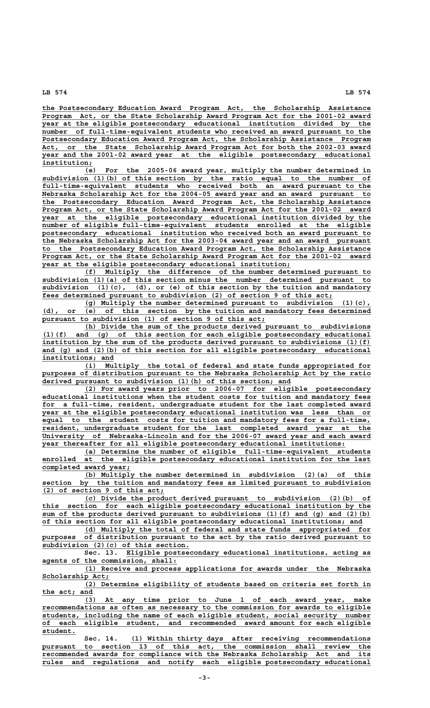**\_\_\_\_\_\_\_\_\_\_\_\_\_\_\_\_\_\_\_\_\_\_\_\_\_\_\_\_\_\_\_\_\_\_\_\_\_\_\_\_\_\_\_\_\_\_\_\_\_\_\_\_\_\_\_\_\_\_\_\_\_\_\_\_\_\_\_\_\_\_\_\_\_\_\_\_\_\_ the Postsecondary Education Award Program Act, the Scholarship Assistance \_\_\_\_\_\_\_\_\_\_\_\_\_\_\_\_\_\_\_\_\_\_\_\_\_\_\_\_\_\_\_\_\_\_\_\_\_\_\_\_\_\_\_\_\_\_\_\_\_\_\_\_\_\_\_\_\_\_\_\_\_\_\_\_\_\_\_\_\_\_\_\_\_\_\_\_\_\_ Program Act, or the State Scholarship Award Program Act for the 2001-02 award \_\_\_\_\_\_\_\_\_\_\_\_\_\_\_\_\_\_\_\_\_\_\_\_\_\_\_\_\_\_\_\_\_\_\_\_\_\_\_\_\_\_\_\_\_\_\_\_\_\_\_\_\_\_\_\_\_\_\_\_\_\_\_\_\_\_\_\_\_\_\_\_\_\_\_\_\_\_ year at the eligible postsecondary educational institution divided by the** number of full-time-equivalent students who received an award pursuant to the Postsecondary Education Award Program Act, the Scholarship Assistance Program Act, or the State Scholarship Award Program Act for both the 2002-03 award<br>year and the 2001-02 award year at the eligible postsecondary educational  **\_\_\_\_\_\_\_\_\_\_\_\_\_\_\_\_\_\_\_\_\_\_\_\_\_\_\_\_\_\_\_\_\_\_\_\_\_\_\_\_\_\_\_\_\_\_\_\_\_\_\_\_\_\_\_\_\_\_\_\_\_\_\_\_\_\_\_\_\_\_\_\_\_\_\_\_\_\_ year and the 2001-02 award year at the eligible postsecondary educational institution; \_\_\_\_\_\_\_\_\_\_\_\_**

 **\_\_\_\_\_\_\_\_\_\_\_\_\_\_\_\_\_\_\_\_\_\_\_\_\_\_\_\_\_\_\_\_\_\_\_\_\_\_\_\_\_\_\_\_\_\_\_\_\_\_\_\_\_\_\_\_\_\_\_\_\_\_\_\_\_\_\_\_ (e) For the 2005-06 award year, multiply the number determined in \_\_\_\_\_\_\_\_\_\_\_\_\_\_\_\_\_\_\_\_\_\_\_\_\_\_\_\_\_\_\_\_\_\_\_\_\_\_\_\_\_\_\_\_\_\_\_\_\_\_\_\_\_\_\_\_\_\_\_\_\_\_\_\_\_\_\_\_\_\_\_\_\_\_\_\_\_\_ subdivision (1)(b) of this section by the ratio equal to the number of \_\_\_\_\_\_\_\_\_\_\_\_\_\_\_\_\_\_\_\_\_\_\_\_\_\_\_\_\_\_\_\_\_\_\_\_\_\_\_\_\_\_\_\_\_\_\_\_\_\_\_\_\_\_\_\_\_\_\_\_\_\_\_\_\_\_\_\_\_\_\_\_\_\_\_\_\_\_ full-time-equivalent students who received both an award pursuant to the \_\_\_\_\_\_\_\_\_\_\_\_\_\_\_\_\_\_\_\_\_\_\_\_\_\_\_\_\_\_\_\_\_\_\_\_\_\_\_\_\_\_\_\_\_\_\_\_\_\_\_\_\_\_\_\_\_\_\_\_\_\_\_\_\_\_\_\_\_\_\_\_\_\_\_\_\_\_ Nebraska Scholarship Act for the 2004-05 award year and an award pursuant to \_\_\_\_\_\_\_\_\_\_\_\_\_\_\_\_\_\_\_\_\_\_\_\_\_\_\_\_\_\_\_\_\_\_\_\_\_\_\_\_\_\_\_\_\_\_\_\_\_\_\_\_\_\_\_\_\_\_\_\_\_\_\_\_\_\_\_\_\_\_\_\_\_\_\_\_\_\_ the Postsecondary Education Award Program Act, the Scholarship Assistance \_\_\_\_\_\_\_\_\_\_\_\_\_\_\_\_\_\_\_\_\_\_\_\_\_\_\_\_\_\_\_\_\_\_\_\_\_\_\_\_\_\_\_\_\_\_\_\_\_\_\_\_\_\_\_\_\_\_\_\_\_\_\_\_\_\_\_\_\_\_\_\_\_\_\_\_\_\_ Program Act, or the State Scholarship Award Program Act for the 2001-02 award \_\_\_\_\_\_\_\_\_\_\_\_\_\_\_\_\_\_\_\_\_\_\_\_\_\_\_\_\_\_\_\_\_\_\_\_\_\_\_\_\_\_\_\_\_\_\_\_\_\_\_\_\_\_\_\_\_\_\_\_\_\_\_\_\_\_\_\_\_\_\_\_\_\_\_\_\_\_ year at the eligible postsecondary educational institution divided by the \_\_\_\_\_\_\_\_\_\_\_\_\_\_\_\_\_\_\_\_\_\_\_\_\_\_\_\_\_\_\_\_\_\_\_\_\_\_\_\_\_\_\_\_\_\_\_\_\_\_\_\_\_\_\_\_\_\_\_\_\_\_\_\_\_\_\_\_\_\_\_\_\_\_\_\_\_\_ number of eligible full-time-equivalent students enrolled at the eligible \_\_\_\_\_\_\_\_\_\_\_\_\_\_\_\_\_\_\_\_\_\_\_\_\_\_\_\_\_\_\_\_\_\_\_\_\_\_\_\_\_\_\_\_\_\_\_\_\_\_\_\_\_\_\_\_\_\_\_\_\_\_\_\_\_\_\_\_\_\_\_\_\_\_\_\_\_\_ postsecondary educational institution who received both an award pursuant to \_\_\_\_\_\_\_\_\_\_\_\_\_\_\_\_\_\_\_\_\_\_\_\_\_\_\_\_\_\_\_\_\_\_\_\_\_\_\_\_\_\_\_\_\_\_\_\_\_\_\_\_\_\_\_\_\_\_\_\_\_\_\_\_\_\_\_\_\_\_\_\_\_\_\_\_\_\_ the Nebraska Scholarship Act for the 2003-04 award year and an award pursuant \_\_\_\_\_\_\_\_\_\_\_\_\_\_\_\_\_\_\_\_\_\_\_\_\_\_\_\_\_\_\_\_\_\_\_\_\_\_\_\_\_\_\_\_\_\_\_\_\_\_\_\_\_\_\_\_\_\_\_\_\_\_\_\_\_\_\_\_\_\_\_\_\_\_\_\_\_\_ to the Postsecondary Education Award Program Act, the Scholarship Assistance \_\_\_\_\_\_\_\_\_\_\_\_\_\_\_\_\_\_\_\_\_\_\_\_\_\_\_\_\_\_\_\_\_\_\_\_\_\_\_\_\_\_\_\_\_\_\_\_\_\_\_\_\_\_\_\_\_\_\_\_\_\_\_\_\_\_\_\_\_\_\_\_\_\_\_\_\_\_ Program Act, or the State Scholarship Award Program Act for the 2001-02 award \_\_\_\_\_\_\_\_\_\_\_\_\_\_\_\_\_\_\_\_\_\_\_\_\_\_\_\_\_\_\_\_\_\_\_\_\_\_\_\_\_\_\_\_\_\_\_\_\_\_\_\_\_\_\_\_\_\_\_ year at the eligible postsecondary educational institution;**

 **\_\_\_\_\_\_\_\_\_\_\_\_\_\_\_\_\_\_\_\_\_\_\_\_\_\_\_\_\_\_\_\_\_\_\_\_\_\_\_\_\_\_\_\_\_\_\_\_\_\_\_\_\_\_\_\_\_\_\_\_\_\_\_\_\_\_\_\_ (f) Multiply the difference of the number determined pursuant to** subdivision (1)(a) of this section minus the number determined pursuant to  **\_\_\_\_\_\_\_\_\_\_\_\_\_\_\_\_\_\_\_\_\_\_\_\_\_\_\_\_\_\_\_\_\_\_\_\_\_\_\_\_\_\_\_\_\_\_\_\_\_\_\_\_\_\_\_\_\_\_\_\_\_\_\_\_\_\_\_\_\_\_\_\_\_\_\_\_\_\_ subdivision (1)(c), (d), or (e) of this section by the tuition and mandatory \_\_\_\_\_\_\_\_\_\_\_\_\_\_\_\_\_\_\_\_\_\_\_\_\_\_\_\_\_\_\_\_\_\_\_\_\_\_\_\_\_\_\_\_\_\_\_\_\_\_\_\_\_\_\_\_\_\_\_\_\_\_\_\_\_\_\_\_\_ fees determined pursuant to subdivision (2) of section 9 of this act;**

 **\_\_\_\_\_\_\_\_\_\_\_\_\_\_\_\_\_\_\_\_\_\_\_\_\_\_\_\_\_\_\_\_\_\_\_\_\_\_\_\_\_\_\_\_\_\_\_\_\_\_\_\_\_\_\_\_\_\_\_\_\_\_\_\_\_\_\_\_ (g) Multiply the number determined pursuant to subdivision (1)(c), \_\_\_\_\_\_\_\_\_\_\_\_\_\_\_\_\_\_\_\_\_\_\_\_\_\_\_\_\_\_\_\_\_\_\_\_\_\_\_\_\_\_\_\_\_\_\_\_\_\_\_\_\_\_\_\_\_\_\_\_\_\_\_\_\_\_\_\_\_\_\_\_\_\_\_\_\_\_ (d), or (e) of this section by the tuition and mandatory fees determined \_\_\_\_\_\_\_\_\_\_\_\_\_\_\_\_\_\_\_\_\_\_\_\_\_\_\_\_\_\_\_\_\_\_\_\_\_\_\_\_\_\_\_\_\_\_\_\_\_\_\_\_\_ pursuant to subdivision (1) of section 9 of this act;**

 **\_\_\_\_\_\_\_\_\_\_\_\_\_\_\_\_\_\_\_\_\_\_\_\_\_\_\_\_\_\_\_\_\_\_\_\_\_\_\_\_\_\_\_\_\_\_\_\_\_\_\_\_\_\_\_\_\_\_\_\_\_\_\_\_\_\_\_\_ (h) Divide the sum of the products derived pursuant to subdivisions \_\_\_\_\_\_\_\_\_\_\_\_\_\_\_\_\_\_\_\_\_\_\_\_\_\_\_\_\_\_\_\_\_\_\_\_\_\_\_\_\_\_\_\_\_\_\_\_\_\_\_\_\_\_\_\_\_\_\_\_\_\_\_\_\_\_\_\_\_\_\_\_\_\_\_\_\_\_ (1)(f) and (g) of this section for each eligible postsecondary educational \_\_\_\_\_\_\_\_\_\_\_\_\_\_\_\_\_\_\_\_\_\_\_\_\_\_\_\_\_\_\_\_\_\_\_\_\_\_\_\_\_\_\_\_\_\_\_\_\_\_\_\_\_\_\_\_\_\_\_\_\_\_\_\_\_\_\_\_\_\_\_\_\_\_\_\_\_\_ institution by the sum of the products derived pursuant to subdivisions (1)(f) \_\_\_\_\_\_\_\_\_\_\_\_\_\_\_\_\_\_\_\_\_\_\_\_\_\_\_\_\_\_\_\_\_\_\_\_\_\_\_\_\_\_\_\_\_\_\_\_\_\_\_\_\_\_\_\_\_\_\_\_\_\_\_\_\_\_\_\_\_\_\_\_\_\_\_\_\_\_ and (g) and (2)(b) of this section for all eligible postsecondary educational** institutions; and

 **\_\_\_\_\_\_\_\_\_\_\_\_\_\_\_\_\_\_\_\_\_\_\_\_\_\_\_\_\_\_\_\_\_\_\_\_\_\_\_\_\_\_\_\_\_\_\_\_\_\_\_\_\_\_\_\_\_\_\_\_\_\_\_\_\_\_\_\_ (i) Multiply the total of federal and state funds appropriated for \_\_\_\_\_\_\_\_\_\_\_\_\_\_\_\_\_\_\_\_\_\_\_\_\_\_\_\_\_\_\_\_\_\_\_\_\_\_\_\_\_\_\_\_\_\_\_\_\_\_\_\_\_\_\_\_\_\_\_\_\_\_\_\_\_\_\_\_\_\_\_\_\_\_\_\_\_\_ purposes of distribution pursuant to the Nebraska Scholarship Act by the ratio \_\_\_\_\_\_\_\_\_\_\_\_\_\_\_\_\_\_\_\_\_\_\_\_\_\_\_\_\_\_\_\_\_\_\_\_\_\_\_\_\_\_\_\_\_\_\_\_\_\_\_\_\_\_\_\_\_\_\_ derived pursuant to subdivision (1)(h) of this section; and**

 **\_\_\_\_\_\_\_\_\_\_\_\_\_\_\_\_\_\_\_\_\_\_\_\_\_\_\_\_\_\_\_\_\_\_\_\_\_\_\_\_\_\_\_\_\_\_\_\_\_\_\_\_\_\_\_\_\_\_\_\_\_\_\_\_\_\_\_\_ (2) For award years prior to 2006-07 for eligible postsecondary \_\_\_\_\_\_\_\_\_\_\_\_\_\_\_\_\_\_\_\_\_\_\_\_\_\_\_\_\_\_\_\_\_\_\_\_\_\_\_\_\_\_\_\_\_\_\_\_\_\_\_\_\_\_\_\_\_\_\_\_\_\_\_\_\_\_\_\_\_\_\_\_\_\_\_\_\_\_ educational institutions when the student costs for tuition and mandatory fees \_\_\_\_\_\_\_\_\_\_\_\_\_\_\_\_\_\_\_\_\_\_\_\_\_\_\_\_\_\_\_\_\_\_\_\_\_\_\_\_\_\_\_\_\_\_\_\_\_\_\_\_\_\_\_\_\_\_\_\_\_\_\_\_\_\_\_\_\_\_\_\_\_\_\_\_\_\_ for a full-time, resident, undergraduate student for the last completed award \_\_\_\_\_\_\_\_\_\_\_\_\_\_\_\_\_\_\_\_\_\_\_\_\_\_\_\_\_\_\_\_\_\_\_\_\_\_\_\_\_\_\_\_\_\_\_\_\_\_\_\_\_\_\_\_\_\_\_\_\_\_\_\_\_\_\_\_\_\_\_\_\_\_\_\_\_\_ year at the eligible postsecondary educational institution was less than or \_\_\_\_\_\_\_\_\_\_\_\_\_\_\_\_\_\_\_\_\_\_\_\_\_\_\_\_\_\_\_\_\_\_\_\_\_\_\_\_\_\_\_\_\_\_\_\_\_\_\_\_\_\_\_\_\_\_\_\_\_\_\_\_\_\_\_\_\_\_\_\_\_\_\_\_\_\_ equal to the student costs for tuition and mandatory fees for a full-time, \_\_\_\_\_\_\_\_\_\_\_\_\_\_\_\_\_\_\_\_\_\_\_\_\_\_\_\_\_\_\_\_\_\_\_\_\_\_\_\_\_\_\_\_\_\_\_\_\_\_\_\_\_\_\_\_\_\_\_\_\_\_\_\_\_\_\_\_\_\_\_\_\_\_\_\_\_\_ resident, undergraduate student for the last completed award year at the \_\_\_\_\_\_\_\_\_\_\_\_\_\_\_\_\_\_\_\_\_\_\_\_\_\_\_\_\_\_\_\_\_\_\_\_\_\_\_\_\_\_\_\_\_\_\_\_\_\_\_\_\_\_\_\_\_\_\_\_\_\_\_\_\_\_\_\_\_\_\_\_\_\_\_\_\_\_ University of Nebraska-Lincoln and for the 2006-07 award year and each award \_\_\_\_\_\_\_\_\_\_\_\_\_\_\_\_\_\_\_\_\_\_\_\_\_\_\_\_\_\_\_\_\_\_\_\_\_\_\_\_\_\_\_\_\_\_\_\_\_\_\_\_\_\_\_\_\_\_\_\_\_\_\_\_\_\_\_\_\_\_\_\_ year thereafter for all eligible postsecondary educational institutions:**

 **\_\_\_\_\_\_\_\_\_\_\_\_\_\_\_\_\_\_\_\_\_\_\_\_\_\_\_\_\_\_\_\_\_\_\_\_\_\_\_\_\_\_\_\_\_\_\_\_\_\_\_\_\_\_\_\_\_\_\_\_\_\_\_\_\_\_\_\_ (a) Determine the number of eligible full-time-equivalent students \_\_\_\_\_\_\_\_\_\_\_\_\_\_\_\_\_\_\_\_\_\_\_\_\_\_\_\_\_\_\_\_\_\_\_\_\_\_\_\_\_\_\_\_\_\_\_\_\_\_\_\_\_\_\_\_\_\_\_\_\_\_\_\_\_\_\_\_\_\_\_\_\_\_\_\_\_\_ enrolled at the eligible postsecondary educational institution for the last \_\_\_\_\_\_\_\_\_\_\_\_\_\_\_\_\_\_\_\_\_ completed award year;**

 **\_\_\_\_\_\_\_\_\_\_\_\_\_\_\_\_\_\_\_\_\_\_\_\_\_\_\_\_\_\_\_\_\_\_\_\_\_\_\_\_\_\_\_\_\_\_\_\_\_\_\_\_\_\_\_\_\_\_\_\_\_\_\_\_\_\_\_\_ (b) Multiply the number determined in subdivision (2)(a) of this** section by the tuition and mandatory fees as limited pursuant to subdivision  **\_\_\_\_\_\_\_\_\_\_\_\_\_\_\_\_\_\_\_\_\_\_\_\_\_\_\_\_\_ (2) of section 9 of this act;**

 **\_\_\_\_\_\_\_\_\_\_\_\_\_\_\_\_\_\_\_\_\_\_\_\_\_\_\_\_\_\_\_\_\_\_\_\_\_\_\_\_\_\_\_\_\_\_\_\_\_\_\_\_\_\_\_\_\_\_\_\_\_\_\_\_\_\_\_\_ (c) Divide the product derived pursuant to subdivision (2)(b) of \_\_\_\_\_\_\_\_\_\_\_\_\_\_\_\_\_\_\_\_\_\_\_\_\_\_\_\_\_\_\_\_\_\_\_\_\_\_\_\_\_\_\_\_\_\_\_\_\_\_\_\_\_\_\_\_\_\_\_\_\_\_\_\_\_\_\_\_\_\_\_\_\_\_\_\_\_\_ this section for each eligible postsecondary educational institution by the** sum of the products derived pursuant to subdivisions (1)(f) and (g) and (2)(b)  **\_\_\_\_\_\_\_\_\_\_\_\_\_\_\_\_\_\_\_\_\_\_\_\_\_\_\_\_\_\_\_\_\_\_\_\_\_\_\_\_\_\_\_\_\_\_\_\_\_\_\_\_\_\_\_\_\_\_\_\_\_\_\_\_\_\_\_\_\_\_\_\_\_\_\_\_ of this section for all eligible postsecondary educational institutions; and**

 **\_\_\_\_\_\_\_\_\_\_\_\_\_\_\_\_\_\_\_\_\_\_\_\_\_\_\_\_\_\_\_\_\_\_\_\_\_\_\_\_\_\_\_\_\_\_\_\_\_\_\_\_\_\_\_\_\_\_\_\_\_\_\_\_\_\_\_\_ (d) Multiply the total of federal and state funds appropriated for** purposes of distribution pursuant to the act by the ratio derived pursuant to  **\_\_\_\_\_\_\_\_\_\_\_\_\_\_\_\_\_\_\_\_\_\_\_\_\_\_\_\_\_\_\_\_\_\_\_ subdivision (2)(c) of this section.**

 **\_\_\_\_\_\_\_\_\_\_\_\_\_\_\_\_\_\_\_\_\_\_\_\_\_\_\_\_\_\_\_\_\_\_\_\_\_\_\_\_\_\_\_\_\_\_\_\_\_\_\_\_\_\_\_\_\_\_ Sec. 13. Eligible postsecondary educational institutions, acting as \_\_\_\_\_\_\_\_\_\_\_\_\_\_\_\_\_\_\_\_\_\_\_\_\_\_\_\_\_\_\_\_ agents of the commission, shall:**

 **\_\_\_\_\_\_\_\_\_\_\_\_\_\_\_\_\_\_\_\_\_\_\_\_\_\_\_\_\_\_\_\_\_\_\_\_\_\_\_\_\_\_\_\_\_\_\_\_\_\_\_\_\_\_\_\_\_\_\_\_\_\_\_\_\_\_\_\_ (1) Receive and process applications for awards under the Nebraska** Scholarship Act;

 **\_\_\_\_\_\_\_\_\_\_\_\_\_\_\_\_\_\_\_\_\_\_\_\_\_\_\_\_\_\_\_\_\_\_\_\_\_\_\_\_\_\_\_\_\_\_\_\_\_\_\_\_\_\_\_\_\_\_\_\_\_\_\_\_\_\_\_\_ (2) Determine eligibility of students based on criteria set forth in \_\_\_\_\_\_\_\_\_\_\_\_ the act; and**

 **\_\_\_\_\_\_\_\_\_\_\_\_\_\_\_\_\_\_\_\_\_\_\_\_\_\_\_\_\_\_\_\_\_\_\_\_\_\_\_\_\_\_\_\_\_\_\_\_\_\_\_\_\_\_\_\_\_\_\_\_\_\_\_\_\_\_\_\_ (3) At any time prior to June 1 of each award year, make \_\_\_\_\_\_\_\_\_\_\_\_\_\_\_\_\_\_\_\_\_\_\_\_\_\_\_\_\_\_\_\_\_\_\_\_\_\_\_\_\_\_\_\_\_\_\_\_\_\_\_\_\_\_\_\_\_\_\_\_\_\_\_\_\_\_\_\_\_\_\_\_\_\_\_\_\_\_ recommendations as often as necessary to the commission for awards to eligible \_\_\_\_\_\_\_\_\_\_\_\_\_\_\_\_\_\_\_\_\_\_\_\_\_\_\_\_\_\_\_\_\_\_\_\_\_\_\_\_\_\_\_\_\_\_\_\_\_\_\_\_\_\_\_\_\_\_\_\_\_\_\_\_\_\_\_\_\_\_\_\_\_\_\_\_\_\_ students, including the name of each eligible student, social security number \_\_\_\_\_\_\_\_\_\_\_\_\_\_\_\_\_\_\_\_\_\_\_\_\_\_\_\_\_\_\_\_\_\_\_\_\_\_\_\_\_\_\_\_\_\_\_\_\_\_\_\_\_\_\_\_\_\_\_\_\_\_\_\_\_\_\_\_\_\_\_\_\_\_\_\_\_\_ of each eligible student, and recommended award amount for each eligible student. \_\_\_\_\_\_\_\_**

 **\_\_\_\_\_\_\_\_\_\_\_\_\_\_\_\_\_\_\_\_\_\_\_\_\_\_\_\_\_\_\_\_\_\_\_\_\_\_\_\_\_\_\_\_\_\_\_\_\_\_\_\_\_\_\_\_\_ Sec. 14. (1) Within thirty days after receiving recommendations \_\_\_\_\_\_\_\_\_\_\_\_\_\_\_\_\_\_\_\_\_\_\_\_\_\_\_\_\_\_\_\_\_\_\_\_\_\_\_\_\_\_\_\_\_\_\_\_\_\_\_\_\_\_\_\_\_\_\_\_\_\_\_\_\_\_\_\_\_\_\_\_\_\_\_\_\_\_ pursuant to section 13 of this act, the commission shall review the \_\_\_\_\_\_\_\_\_\_\_\_\_\_\_\_\_\_\_\_\_\_\_\_\_\_\_\_\_\_\_\_\_\_\_\_\_\_\_\_\_\_\_\_\_\_\_\_\_\_\_\_\_\_\_\_\_\_\_\_\_\_\_\_\_\_\_\_\_\_\_\_\_\_\_\_\_\_ recommended awards for compliance with the Nebraska Scholarship Act and its \_\_\_\_\_\_\_\_\_\_\_\_\_\_\_\_\_\_\_\_\_\_\_\_\_\_\_\_\_\_\_\_\_\_\_\_\_\_\_\_\_\_\_\_\_\_\_\_\_\_\_\_\_\_\_\_\_\_\_\_\_\_\_\_\_\_\_\_\_\_\_\_\_\_\_\_\_\_ rules and regulations and notify each eligible postsecondary educational**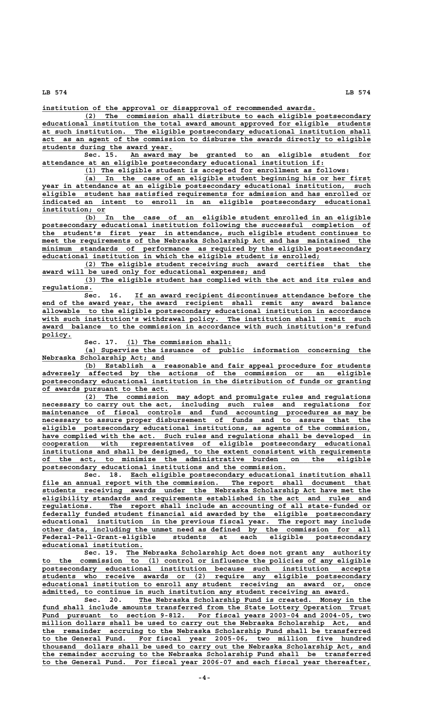**\_\_\_\_\_\_\_\_\_\_\_\_\_\_\_\_\_\_\_\_\_\_\_\_\_\_\_\_\_\_\_\_\_\_\_\_\_\_\_\_\_\_\_\_\_\_\_\_\_\_\_\_\_\_\_\_\_\_\_\_\_\_\_\_\_ institution of the approval or disapproval of recommended awards.**

 **\_\_\_\_\_\_\_\_\_\_\_\_\_\_\_\_\_\_\_\_\_\_\_\_\_\_\_\_\_\_\_\_\_\_\_\_\_\_\_\_\_\_\_\_\_\_\_\_\_\_\_\_\_\_\_\_\_\_\_\_\_\_\_\_\_\_\_\_ (2) The commission shall distribute to each eligible postsecondary \_\_\_\_\_\_\_\_\_\_\_\_\_\_\_\_\_\_\_\_\_\_\_\_\_\_\_\_\_\_\_\_\_\_\_\_\_\_\_\_\_\_\_\_\_\_\_\_\_\_\_\_\_\_\_\_\_\_\_\_\_\_\_\_\_\_\_\_\_\_\_\_\_\_\_\_\_\_ educational institution the total award amount approved for eligible students \_\_\_\_\_\_\_\_\_\_\_\_\_\_\_\_\_\_\_\_\_\_\_\_\_\_\_\_\_\_\_\_\_\_\_\_\_\_\_\_\_\_\_\_\_\_\_\_\_\_\_\_\_\_\_\_\_\_\_\_\_\_\_\_\_\_\_\_\_\_\_\_\_\_\_\_\_\_ at such institution. The eligible postsecondary educational institution shall \_\_\_\_\_\_\_\_\_\_\_\_\_\_\_\_\_\_\_\_\_\_\_\_\_\_\_\_\_\_\_\_\_\_\_\_\_\_\_\_\_\_\_\_\_\_\_\_\_\_\_\_\_\_\_\_\_\_\_\_\_\_\_\_\_\_\_\_\_\_\_\_\_\_\_\_\_\_ act as an agent of the commission to disburse the awards directly to eligible \_\_\_\_\_\_\_\_\_\_\_\_\_\_\_\_\_\_\_\_\_\_\_\_\_\_\_\_\_\_\_ students during the award year.**

 **\_\_\_\_\_\_\_\_\_\_\_\_\_\_\_\_\_\_\_\_\_\_\_\_\_\_\_\_\_\_\_\_\_\_\_\_\_\_\_\_\_\_\_\_\_\_\_\_\_\_\_\_\_\_\_\_\_ Sec. 15. An award may be granted to an eligible student for \_\_\_\_\_\_\_\_\_\_\_\_\_\_\_\_\_\_\_\_\_\_\_\_\_\_\_\_\_\_\_\_\_\_\_\_\_\_\_\_\_\_\_\_\_\_\_\_\_\_\_\_\_\_\_\_\_\_\_\_\_\_\_\_\_\_\_ attendance at an eligible postsecondary educational institution if:**

 **\_\_\_\_\_\_\_\_\_\_\_\_\_\_\_\_\_\_\_\_\_\_\_\_\_\_\_\_\_\_\_\_\_\_\_\_\_\_\_\_\_\_\_\_\_\_\_\_\_\_\_\_\_\_\_\_\_\_\_\_\_\_\_ (1) The eligible student is accepted for enrollment as follows:**

 **\_\_\_\_\_\_\_\_\_\_\_\_\_\_\_\_\_\_\_\_\_\_\_\_\_\_\_\_\_\_\_\_\_\_\_\_\_\_\_\_\_\_\_\_\_\_\_\_\_\_\_\_\_\_\_\_\_\_\_\_\_\_\_\_\_\_\_\_ (a) In the case of an eligible student beginning his or her first \_\_\_\_\_\_\_\_\_\_\_\_\_\_\_\_\_\_\_\_\_\_\_\_\_\_\_\_\_\_\_\_\_\_\_\_\_\_\_\_\_\_\_\_\_\_\_\_\_\_\_\_\_\_\_\_\_\_\_\_\_\_\_\_\_\_\_\_\_\_\_\_\_\_\_\_\_\_ year in attendance at an eligible postsecondary educational institution, such \_\_\_\_\_\_\_\_\_\_\_\_\_\_\_\_\_\_\_\_\_\_\_\_\_\_\_\_\_\_\_\_\_\_\_\_\_\_\_\_\_\_\_\_\_\_\_\_\_\_\_\_\_\_\_\_\_\_\_\_\_\_\_\_\_\_\_\_\_\_\_\_\_\_\_\_\_\_ eligible student has satisfied requirements for admission and has enrolled or \_\_\_\_\_\_\_\_\_\_\_\_\_\_\_\_\_\_\_\_\_\_\_\_\_\_\_\_\_\_\_\_\_\_\_\_\_\_\_\_\_\_\_\_\_\_\_\_\_\_\_\_\_\_\_\_\_\_\_\_\_\_\_\_\_\_\_\_\_\_\_\_\_\_\_\_\_\_ indicated an intent to enroll in an eligible postsecondary educational institution; or \_\_\_\_\_\_\_\_\_\_\_\_\_\_\_**

 **\_\_\_\_\_\_\_\_\_\_\_\_\_\_\_\_\_\_\_\_\_\_\_\_\_\_\_\_\_\_\_\_\_\_\_\_\_\_\_\_\_\_\_\_\_\_\_\_\_\_\_\_\_\_\_\_\_\_\_\_\_\_\_\_\_\_\_\_ (b) In the case of an eligible student enrolled in an eligible \_\_\_\_\_\_\_\_\_\_\_\_\_\_\_\_\_\_\_\_\_\_\_\_\_\_\_\_\_\_\_\_\_\_\_\_\_\_\_\_\_\_\_\_\_\_\_\_\_\_\_\_\_\_\_\_\_\_\_\_\_\_\_\_\_\_\_\_\_\_\_\_\_\_\_\_\_\_ postsecondary educational institution following the successful completion of \_\_\_\_\_\_\_\_\_\_\_\_\_\_\_\_\_\_\_\_\_\_\_\_\_\_\_\_\_\_\_\_\_\_\_\_\_\_\_\_\_\_\_\_\_\_\_\_\_\_\_\_\_\_\_\_\_\_\_\_\_\_\_\_\_\_\_\_\_\_\_\_\_\_\_\_\_\_ the student's first year in attendance, such eligible student continues to \_\_\_\_\_\_\_\_\_\_\_\_\_\_\_\_\_\_\_\_\_\_\_\_\_\_\_\_\_\_\_\_\_\_\_\_\_\_\_\_\_\_\_\_\_\_\_\_\_\_\_\_\_\_\_\_\_\_\_\_\_\_\_\_\_\_\_\_\_\_\_\_\_\_\_\_\_\_ meet the requirements of the Nebraska Scholarship Act and has maintained the**  $minimum$  standards of performance as required by the eligible postsecondary  **\_\_\_\_\_\_\_\_\_\_\_\_\_\_\_\_\_\_\_\_\_\_\_\_\_\_\_\_\_\_\_\_\_\_\_\_\_\_\_\_\_\_\_\_\_\_\_\_\_\_\_\_\_\_\_\_\_\_\_\_\_\_\_\_\_\_ educational institution in which the eligible student is enrolled;**

 **\_\_\_\_\_\_\_\_\_\_\_\_\_\_\_\_\_\_\_\_\_\_\_\_\_\_\_\_\_\_\_\_\_\_\_\_\_\_\_\_\_\_\_\_\_\_\_\_\_\_\_\_\_\_\_\_\_\_\_\_\_\_\_\_\_\_\_\_ (2) The eligible student receiving such award certifies that the \_\_\_\_\_\_\_\_\_\_\_\_\_\_\_\_\_\_\_\_\_\_\_\_\_\_\_\_\_\_\_\_\_\_\_\_\_\_\_\_\_\_\_\_\_\_\_\_\_\_\_\_\_ award will be used only for educational expenses; and**

> **\_\_\_\_\_\_\_\_\_\_\_\_\_\_\_\_\_\_\_\_\_\_\_\_\_\_\_\_\_\_\_\_\_\_\_\_\_\_\_\_\_\_\_\_\_\_\_\_\_\_\_\_\_\_\_\_\_\_\_\_\_\_\_\_\_\_\_\_ (3) The eligible student has complied with the act and its rules and regulations. \_\_\_\_\_\_\_\_\_\_\_\_**

> Sec. 16. If an award recipient discontinues attendance before the end of the award year, the award recipient shall remit any award balance allowable to the eligible postsecondary educational institution in accordance  **\_\_\_\_\_\_\_\_\_\_\_\_\_\_\_\_\_\_\_\_\_\_\_\_\_\_\_\_\_\_\_\_\_\_\_\_\_\_\_\_\_\_\_\_\_\_\_\_\_\_\_\_\_\_\_\_\_\_\_\_\_\_\_\_\_\_\_\_\_\_\_\_\_\_\_\_\_\_ allowable to the eligible postsecondary educational institution in accordance \_\_\_\_\_\_\_\_\_\_\_\_\_\_\_\_\_\_\_\_\_\_\_\_\_\_\_\_\_\_\_\_\_\_\_\_\_\_\_\_\_\_\_\_\_\_\_\_\_\_\_\_\_\_\_\_\_\_\_\_\_\_\_\_\_\_\_\_\_\_\_\_\_\_\_\_\_\_ with such institution's withdrawal policy. The institution shall remit such** award balance to the commission in accordance with such institution's refund  **policy. \_\_\_\_\_\_\_**

Sec. 17. (1) The commission shall:

 **\_\_\_\_\_\_\_\_\_\_\_\_\_\_\_\_\_\_\_\_\_\_\_\_\_\_\_\_\_\_\_\_\_\_\_\_\_\_\_\_\_\_\_\_\_\_\_\_\_\_\_\_\_\_\_\_\_\_\_\_\_\_\_\_\_\_\_\_ (a) Supervise the issuance of public information concerning the \_\_\_\_\_\_\_\_\_\_\_\_\_\_\_\_\_\_\_\_\_\_\_\_\_\_\_\_\_ Nebraska Scholarship Act; and**

 **\_\_\_\_\_\_\_\_\_\_\_\_\_\_\_\_\_\_\_\_\_\_\_\_\_\_\_\_\_\_\_\_\_\_\_\_\_\_\_\_\_\_\_\_\_\_\_\_\_\_\_\_\_\_\_\_\_\_\_\_\_\_\_\_\_\_\_\_ (b) Establish a reasonable and fair appeal procedure for students \_\_\_\_\_\_\_\_\_\_\_\_\_\_\_\_\_\_\_\_\_\_\_\_\_\_\_\_\_\_\_\_\_\_\_\_\_\_\_\_\_\_\_\_\_\_\_\_\_\_\_\_\_\_\_\_\_\_\_\_\_\_\_\_\_\_\_\_\_\_\_\_\_\_\_\_\_\_ adversely affected by the actions of the commission or an eligible \_\_\_\_\_\_\_\_\_\_\_\_\_\_\_\_\_\_\_\_\_\_\_\_\_\_\_\_\_\_\_\_\_\_\_\_\_\_\_\_\_\_\_\_\_\_\_\_\_\_\_\_\_\_\_\_\_\_\_\_\_\_\_\_\_\_\_\_\_\_\_\_\_\_\_\_\_\_ postsecondary educational institution in the distribution of funds or granting \_\_\_\_\_\_\_\_\_\_\_\_\_\_\_\_\_\_\_\_\_\_\_\_\_\_\_\_\_\_ of awards pursuant to the act.**

 **\_\_\_\_\_\_\_\_\_\_\_\_\_\_\_\_\_\_\_\_\_\_\_\_\_\_\_\_\_\_\_\_\_\_\_\_\_\_\_\_\_\_\_\_\_\_\_\_\_\_\_\_\_\_\_\_\_\_\_\_\_\_\_\_\_\_\_\_ (2) The commission may adopt and promulgate rules and regulations \_\_\_\_\_\_\_\_\_\_\_\_\_\_\_\_\_\_\_\_\_\_\_\_\_\_\_\_\_\_\_\_\_\_\_\_\_\_\_\_\_\_\_\_\_\_\_\_\_\_\_\_\_\_\_\_\_\_\_\_\_\_\_\_\_\_\_\_\_\_\_\_\_\_\_\_\_\_ necessary to carry out the act, including such rules and regulations for** maintenance of fiscal controls and fund accounting procedures as may be  **\_\_\_\_\_\_\_\_\_\_\_\_\_\_\_\_\_\_\_\_\_\_\_\_\_\_\_\_\_\_\_\_\_\_\_\_\_\_\_\_\_\_\_\_\_\_\_\_\_\_\_\_\_\_\_\_\_\_\_\_\_\_\_\_\_\_\_\_\_\_\_\_\_\_\_\_\_\_ necessary to assure proper disbursement of funds and to assure that the \_\_\_\_\_\_\_\_\_\_\_\_\_\_\_\_\_\_\_\_\_\_\_\_\_\_\_\_\_\_\_\_\_\_\_\_\_\_\_\_\_\_\_\_\_\_\_\_\_\_\_\_\_\_\_\_\_\_\_\_\_\_\_\_\_\_\_\_\_\_\_\_\_\_\_\_\_\_ eligible postsecondary educational institutions, as agents of the commission,** have complied with the act. Such rules and regulations shall be developed in cooperation with representatives of eligible postsecondary educational  $with$  representatives of eligible postsecondary educational  $\overline{\text{institutions}}$  and shall be designed, to the extent consistent with requirements  **\_\_\_\_\_\_\_\_\_\_\_\_\_\_\_\_\_\_\_\_\_\_\_\_\_\_\_\_\_\_\_\_\_\_\_\_\_\_\_\_\_\_\_\_\_\_\_\_\_\_\_\_\_\_\_\_\_\_\_\_\_\_\_\_\_\_\_\_\_\_\_\_\_\_\_\_\_\_ of the act, to minimize the administrative burden on the eligible \_\_\_\_\_\_\_\_\_\_\_\_\_\_\_\_\_\_\_\_\_\_\_\_\_\_\_\_\_\_\_\_\_\_\_\_\_\_\_\_\_\_\_\_\_\_\_\_\_\_\_\_\_\_\_\_\_\_ postsecondary educational institutions and the commission.**

Sec. 18. Each eligible postsecondary educational institution shall file an annual report with the commission. The report shall document that  **\_\_\_\_\_\_\_\_\_\_\_\_\_\_\_\_\_\_\_\_\_\_\_\_\_\_\_\_\_\_\_\_\_\_\_\_\_\_\_\_\_\_\_\_\_\_\_\_\_\_\_\_\_\_\_\_\_\_\_\_\_\_\_\_\_\_\_\_\_\_\_\_\_\_\_\_\_\_ students receiving awards under the Nebraska Scholarship Act have met the \_\_\_\_\_\_\_\_\_\_\_\_\_\_\_\_\_\_\_\_\_\_\_\_\_\_\_\_\_\_\_\_\_\_\_\_\_\_\_\_\_\_\_\_\_\_\_\_\_\_\_\_\_\_\_\_\_\_\_\_\_\_\_\_\_\_\_\_\_\_\_\_\_\_\_\_\_\_ eligibility standards and requirements established in the act and rules and \_\_\_\_\_\_\_\_\_\_\_\_\_\_\_\_\_\_\_\_\_\_\_\_\_\_\_\_\_\_\_\_\_\_\_\_\_\_\_\_\_\_\_\_\_\_\_\_\_\_\_\_\_\_\_\_\_\_\_\_\_\_\_\_\_\_\_\_\_\_\_\_\_\_\_\_\_\_ regulations. The report shall include an accounting of all state-funded or \_\_\_\_\_\_\_\_\_\_\_\_\_\_\_\_\_\_\_\_\_\_\_\_\_\_\_\_\_\_\_\_\_\_\_\_\_\_\_\_\_\_\_\_\_\_\_\_\_\_\_\_\_\_\_\_\_\_\_\_\_\_\_\_\_\_\_\_\_\_\_\_\_\_\_\_\_\_ federally funded student financial aid awarded by the eligible postsecondary \_\_\_\_\_\_\_\_\_\_\_\_\_\_\_\_\_\_\_\_\_\_\_\_\_\_\_\_\_\_\_\_\_\_\_\_\_\_\_\_\_\_\_\_\_\_\_\_\_\_\_\_\_\_\_\_\_\_\_\_\_\_\_\_\_\_\_\_\_\_\_\_\_\_\_\_\_\_ educational institution in the previous fiscal year. The report may include** other data, including the unmet need as defined by the commission for all  **\_\_\_\_\_\_\_\_\_\_\_\_\_\_\_\_\_\_\_\_\_\_\_\_\_\_\_\_\_\_\_\_\_\_\_\_\_\_\_\_\_\_\_\_\_\_\_\_\_\_\_\_\_\_\_\_\_\_\_\_\_\_\_\_\_\_\_\_\_\_\_\_\_\_\_\_\_\_ Federal-Pell-Grant-eligible students at each eligible postsecondary educational institution. \_\_\_\_\_\_\_\_\_\_\_\_\_\_\_\_\_\_\_\_\_\_\_\_**

 **\_\_\_\_\_\_\_\_\_\_\_\_\_\_\_\_\_\_\_\_\_\_\_\_\_\_\_\_\_\_\_\_\_\_\_\_\_\_\_\_\_\_\_\_\_\_\_\_\_\_\_\_\_\_\_\_\_\_ Sec. 19. The Nebraska Scholarship Act does not grant any authority \_\_\_\_\_\_\_\_\_\_\_\_\_\_\_\_\_\_\_\_\_\_\_\_\_\_\_\_\_\_\_\_\_\_\_\_\_\_\_\_\_\_\_\_\_\_\_\_\_\_\_\_\_\_\_\_\_\_\_\_\_\_\_\_\_\_\_\_\_\_\_\_\_\_\_\_\_\_ to the commission to (1) control or influence the policies of any eligible \_\_\_\_\_\_\_\_\_\_\_\_\_\_\_\_\_\_\_\_\_\_\_\_\_\_\_\_\_\_\_\_\_\_\_\_\_\_\_\_\_\_\_\_\_\_\_\_\_\_\_\_\_\_\_\_\_\_\_\_\_\_\_\_\_\_\_\_\_\_\_\_\_\_\_\_\_\_ postsecondary educational institution because such institution accepts \_\_\_\_\_\_\_\_\_\_\_\_\_\_\_\_\_\_\_\_\_\_\_\_\_\_\_\_\_\_\_\_\_\_\_\_\_\_\_\_\_\_\_\_\_\_\_\_\_\_\_\_\_\_\_\_\_\_\_\_\_\_\_\_\_\_\_\_\_\_\_\_\_\_\_\_\_\_ students who receive awards or (2) require any eligible postsecondary \_\_\_\_\_\_\_\_\_\_\_\_\_\_\_\_\_\_\_\_\_\_\_\_\_\_\_\_\_\_\_\_\_\_\_\_\_\_\_\_\_\_\_\_\_\_\_\_\_\_\_\_\_\_\_\_\_\_\_\_\_\_\_\_\_\_\_\_\_\_\_\_\_\_\_\_\_\_ educational institution to enroll any student receiving an award or, once**  $admitted, to continue in such institution any student receiving an award.$ 

 **\_\_\_\_\_\_\_\_\_\_\_\_\_\_\_\_\_\_\_\_\_\_\_\_\_\_\_\_\_\_\_\_\_\_\_\_\_\_\_\_\_\_\_\_\_\_\_\_\_\_\_\_\_\_\_ Sec. 20. The Nebraska Scholarship Fund is created. Money in the \_\_\_\_\_\_\_\_\_\_\_\_\_\_\_\_\_\_\_\_\_\_\_\_\_\_\_\_\_\_\_\_\_\_\_\_\_\_\_\_\_\_\_\_\_\_\_\_\_\_\_\_\_\_\_\_\_\_\_\_\_\_\_\_\_\_\_\_\_\_\_\_\_\_\_\_\_\_ fund shall include amounts transferred from the State Lottery Operation Trust** Fund pursuant to section 9-812. For fiscal years 2003-04 and 2004-05, two  **\_\_\_\_\_\_\_\_\_\_\_\_\_\_\_\_\_\_\_\_\_\_\_\_\_\_\_\_\_\_\_\_\_\_\_\_\_\_\_\_\_\_\_\_\_\_\_\_\_\_\_\_\_\_\_\_\_\_\_\_\_\_\_\_\_\_\_\_\_\_\_\_\_\_\_\_\_\_ million dollars shall be used to carry out the Nebraska Scholarship Act, and \_\_\_\_\_\_\_\_\_\_\_\_\_\_\_\_\_\_\_\_\_\_\_\_\_\_\_\_\_\_\_\_\_\_\_\_\_\_\_\_\_\_\_\_\_\_\_\_\_\_\_\_\_\_\_\_\_\_\_\_\_\_\_\_\_\_\_\_\_\_\_\_\_\_\_\_\_\_ the remainder accruing to the Nebraska Scholarship Fund shall be transferred \_\_\_\_\_\_\_\_\_\_\_\_\_\_\_\_\_\_\_\_\_\_\_\_\_\_\_\_\_\_\_\_\_\_\_\_\_\_\_\_\_\_\_\_\_\_\_\_\_\_\_\_\_\_\_\_\_\_\_\_\_\_\_\_\_\_\_\_\_\_\_\_\_\_\_\_\_\_ to the General Fund. For fiscal year 2005-06, two million five hundred \_\_\_\_\_\_\_\_\_\_\_\_\_\_\_\_\_\_\_\_\_\_\_\_\_\_\_\_\_\_\_\_\_\_\_\_\_\_\_\_\_\_\_\_\_\_\_\_\_\_\_\_\_\_\_\_\_\_\_\_\_\_\_\_\_\_\_\_\_\_\_\_\_\_\_\_\_\_ thousand dollars shall be used to carry out the Nebraska Scholarship Act, and \_\_\_\_\_\_\_\_\_\_\_\_\_\_\_\_\_\_\_\_\_\_\_\_\_\_\_\_\_\_\_\_\_\_\_\_\_\_\_\_\_\_\_\_\_\_\_\_\_\_\_\_\_\_\_\_\_\_\_\_\_\_\_\_\_\_\_\_\_\_\_\_\_\_\_\_\_\_ the remainder accruing to the Nebraska Scholarship Fund shall be transferred \_\_\_\_\_\_\_\_\_\_\_\_\_\_\_\_\_\_\_\_\_\_\_\_\_\_\_\_\_\_\_\_\_\_\_\_\_\_\_\_\_\_\_\_\_\_\_\_\_\_\_\_\_\_\_\_\_\_\_\_\_\_\_\_\_\_\_\_\_\_\_\_\_\_\_\_\_\_ to the General Fund. For fiscal year 2006-07 and each fiscal year thereafter,**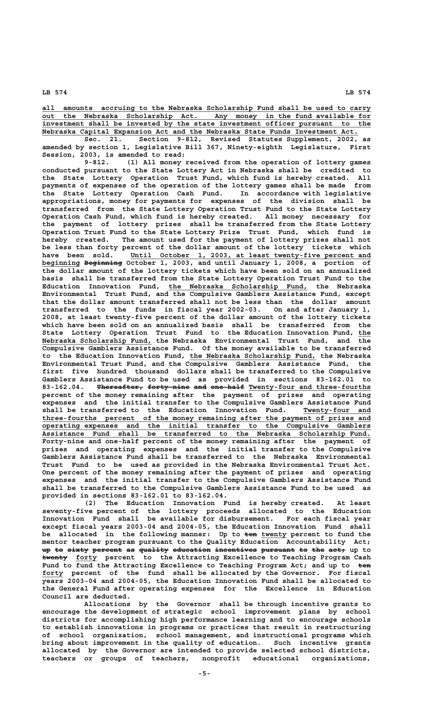**\_\_\_\_\_\_\_\_\_\_\_\_\_\_\_\_\_\_\_\_\_\_\_\_\_\_\_\_\_\_\_\_\_\_\_\_\_\_\_\_\_\_\_\_\_\_\_\_\_\_\_\_\_\_\_\_\_\_\_\_\_\_\_\_\_\_\_\_\_\_\_\_\_\_\_\_\_\_ all amounts accruing to the Nebraska Scholarship Fund shall be used to carry \_\_\_\_\_\_\_\_\_\_\_\_\_\_\_\_\_\_\_\_\_\_\_\_\_\_\_\_\_\_\_\_\_\_\_\_\_\_\_\_\_\_\_\_\_\_\_\_\_\_\_\_\_\_\_\_\_\_\_\_\_\_\_\_\_\_\_\_\_\_\_\_\_\_\_\_\_\_ out the Nebraska Scholarship Act. Any money in the fund available for \_\_\_\_\_\_\_\_\_\_\_\_\_\_\_\_\_\_\_\_\_\_\_\_\_\_\_\_\_\_\_\_\_\_\_\_\_\_\_\_\_\_\_\_\_\_\_\_\_\_\_\_\_\_\_\_\_\_\_\_\_\_\_\_\_\_\_\_\_\_\_\_\_\_\_\_\_\_ investment shall be invested by the state investment officer pursuant to the \_\_\_\_\_\_\_\_\_\_\_\_\_\_\_\_\_\_\_\_\_\_\_\_\_\_\_\_\_\_\_\_\_\_\_\_\_\_\_\_\_\_\_\_\_\_\_\_\_\_\_\_\_\_\_\_\_\_\_\_\_\_\_\_\_\_\_\_\_\_\_\_\_\_\_ Nebraska Capital Expansion Act and the Nebraska State Funds Investment Act.**

**Sec. 21. Section 9-812, Revised Statutes Supplement, 2002, as amended by section 1, Legislative Bill 367, Ninety-eighth Legislature, First Session, 2003, is amended to read:**

**9-812. (1) All money received from the operation of lottery games conducted pursuant to the State Lottery Act in Nebraska shall be credited to the State Lottery Operation Trust Fund, which fund is hereby created. All payments of expenses of the operation of the lottery games shall be made from the State Lottery Operation Cash Fund. In accordance with legislative appropriations, money for payments for expenses of the division shall be transferred from the State Lottery Operation Trust Fund to the State Lottery Operation Cash Fund, which fund is hereby created. All money necessary for the payment of lottery prizes shall be transferred from the State Lottery Operation Trust Fund to the State Lottery Prize Trust Fund, which fund is hereby created. The amount used for the payment of lottery prizes shall not be less than forty percent of the dollar amount of the lottery tickets which \_\_\_\_\_\_\_\_\_\_\_\_\_\_\_\_\_\_\_\_\_\_\_\_\_\_\_\_\_\_\_\_\_\_\_\_\_\_\_\_\_\_\_\_\_\_\_\_\_\_\_\_\_\_\_\_\_ have been sold. Until October 1, 2003, at least twenty-five percent and \_\_\_\_\_\_\_\_\_ ————————— beginning Beginning October 1, 2003, and until January 1, 2008, a portion of the dollar amount of the lottery tickets which have been sold on an annualized basis shall be transferred from the State Lottery Operation Trust Fund to the \_\_\_\_\_\_\_\_\_\_\_\_\_\_\_\_\_\_\_\_\_\_\_\_\_\_\_\_\_\_\_\_\_ Education Innovation Fund, the Nebraska Scholarship Fund, the Nebraska Environmental Trust Fund, and the Compulsive Gamblers Assistance Fund, except that the dollar amount transferred shall not be less than the dollar amount transferred to the funds in fiscal year 2002-03. On and after January 1, 2008, at least twenty-five percent of the dollar amount of the lottery tickets which have been sold on an annualized basis shall be transferred from the** State Lottery Operation Trust Fund to the Education Innovation Fund, the  **\_\_\_\_\_\_\_\_\_\_\_\_\_\_\_\_\_\_\_\_\_\_\_\_\_\_ Nebraska Scholarship Fund, the Nebraska Environmental Trust Fund, and the Compulsive Gamblers Assistance Fund. Of the money available to be transferred \_\_\_\_\_\_\_\_\_\_\_\_\_\_\_\_\_\_\_\_\_\_\_\_\_\_\_\_\_\_ to the Education Innovation Fund, the Nebraska Scholarship Fund, the Nebraska Environmental Trust Fund, and the Compulsive Gamblers Assistance Fund, the first five hundred thousand dollars shall be transferred to the Compulsive Gamblers Assistance Fund to be used as provided in sections 83-162.01 to** 83-162.04. Thereafter, forty-nine and one-half Twenty-four and three-fourths **percent of the money remaining after the payment of prizes and operating expenses and the initial transfer to the Compulsive Gamblers Assistance Fund** shall be transferred to the Education Innovation Fund. Twenty-four and  **\_\_\_\_\_\_\_\_\_\_\_\_\_\_\_\_\_\_\_\_\_\_\_\_\_\_\_\_\_\_\_\_\_\_\_\_\_\_\_\_\_\_\_\_\_\_\_\_\_\_\_\_\_\_\_\_\_\_\_\_\_\_\_\_\_\_\_\_\_\_\_\_\_\_\_\_\_\_ three-fourths percent of the money remaining after the payment of prizes and \_\_\_\_\_\_\_\_\_\_\_\_\_\_\_\_\_\_\_\_\_\_\_\_\_\_\_\_\_\_\_\_\_\_\_\_\_\_\_\_\_\_\_\_\_\_\_\_\_\_\_\_\_\_\_\_\_\_\_\_\_\_\_\_\_\_\_\_\_\_\_\_\_\_\_\_\_\_ operating expenses and the initial transfer to the Compulsive Gamblers \_\_\_\_\_\_\_\_\_\_\_\_\_\_\_\_\_\_\_\_\_\_\_\_\_\_\_\_\_\_\_\_\_\_\_\_\_\_\_\_\_\_\_\_\_\_\_\_\_\_\_\_\_\_\_\_\_\_\_\_\_\_\_\_\_\_\_\_\_\_\_\_\_\_\_\_\_\_ Assistance Fund shall be transferred to the Nebraska Scholarship Fund.** Assistance Fund shall be transferred to the Nebraska Scholarship Fund.<br>Forty-nine and one-half percent of the money remaining after the payment of **prizes and operating expenses and the initial transfer to the Compulsive Gamblers Assistance Fund shall be transferred to the Nebraska Environmental Trust Fund to be used as provided in the Nebraska Environmental Trust Act. One percent of the money remaining after the payment of prizes and operating expenses and the initial transfer to the Compulsive Gamblers Assistance Fund shall be transferred to the Compulsive Gamblers Assistance Fund to be used as provided in sections 83-162.01 to 83-162.04.**

**(2) The Education Innovation Fund is hereby created. At least seventy-five percent of the lottery proceeds allocated to the Education Innovation Fund shall be available for disbursement. For each fiscal year except fiscal years 2003-04 and 2004-05, the Education Innovation Fund shall** be allocated in the following manner: Up to ten twenty percent to fund the **mentor teacher program pursuant to the Quality Education Accountability Act; up to sixty percent as quality education incentives pursuant to the act, up to —————— \_\_\_\_\_ twenty forty percent to the Attracting Excellence to Teaching Program Cash** Fund to fund the Attracting Excellence to Teaching Program Act; and up to ten  **\_\_\_\_\_ forty percent of the fund shall be allocated by the Governor. For fiscal years 2003-04 and 2004-05, the Education Innovation Fund shall be allocated to the General Fund after operating expenses for the Excellence in Education Council are deducted.**

> **Allocations by the Governor shall be through incentive grants to encourage the development of strategic school improvement plans by school districts for accomplishing high performance learning and to encourage schools to establish innovations in programs or practices that result in restructuring of school organization, school management, and instructional programs which bring about improvement in the quality of education. Such incentive grants allocated by the Governor are intended to provide selected school districts, teachers or groups of teachers, nonprofit educational organizations,**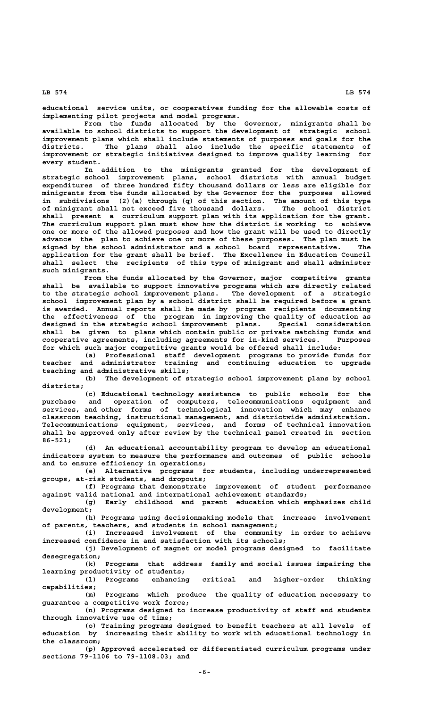**educational service units, or cooperatives funding for the allowable costs of implementing pilot projects and model programs.**

**From the funds allocated by the Governor, minigrants shall be available to school districts to support the development of strategic school improvement plans which shall include statements of purposes and goals for the districts. The plans shall also include the specific statements of improvement or strategic initiatives designed to improve quality learning for every student.**

**In addition to the minigrants granted for the development of strategic school improvement plans, school districts with annual budget expenditures of three hundred fifty thousand dollars or less are eligible for minigrants from the funds allocated by the Governor for the purposes allowed in subdivisions (2)(a) through (q) of this section. The amount of this type of minigrant shall not exceed five thousand dollars. The school district shall present a curriculum support plan with its application for the grant. The curriculum support plan must show how the district is working to achieve one or more of the allowed purposes and how the grant will be used to directly advance the plan to achieve one or more of these purposes. The plan must be signed by the school administrator and a school board representative. The application for the grant shall be brief. The Excellence in Education Council shall select the recipients of this type of minigrant and shall administer such minigrants.**

**From the funds allocated by the Governor, major competitive grants shall be available to support innovative programs which are directly related to the strategic school improvement plans. The development of a strategic school improvement plan by a school district shall be required before a grant is awarded. Annual reports shall be made by program recipients documenting the effectiveness of the program in improving the quality of education as designed in the strategic school improvement plans. Special consideration shall be given to plans which contain public or private matching funds and cooperative agreements, including agreements for in-kind services. Purposes for which such major competitive grants would be offered shall include:**

**(a) Professional staff development programs to provide funds for teacher and administrator training and continuing education to upgrade teaching and administrative skills;**

**(b) The development of strategic school improvement plans by school districts;**

**(c) Educational technology assistance to public schools for the purchase and operation of computers, telecommunications equipment and services, and other forms of technological innovation which may enhance classroom teaching, instructional management, and districtwide administration. Telecommunications equipment, services, and forms of technical innovation shall be approved only after review by the technical panel created in section 86-521;**

**(d) An educational accountability program to develop an educational indicators system to measure the performance and outcomes of public schools and to ensure efficiency in operations;**

**(e) Alternative programs for students, including underrepresented groups, at-risk students, and dropouts;**

**(f) Programs that demonstrate improvement of student performance against valid national and international achievement standards;**

**(g) Early childhood and parent education which emphasizes child development;**

**(h) Programs using decisionmaking models that increase involvement of parents, teachers, and students in school management;**

**(i) Increased involvement of the community in order to achieve increased confidence in and satisfaction with its schools;**

**(j) Development of magnet or model programs designed to facilitate desegregation;**

**(k) Programs that address family and social issues impairing the learning productivity of students;**

**(l) Programs enhancing critical and higher-order thinking capabilities;**

**(m) Programs which produce the quality of education necessary to guarantee a competitive work force;**

**(n) Programs designed to increase productivity of staff and students through innovative use of time;**

**(o) Training programs designed to benefit teachers at all levels of education by increasing their ability to work with educational technology in the classroom;**

**(p) Approved accelerated or differentiated curriculum programs under sections 79-1106 to 79-1108.03; and**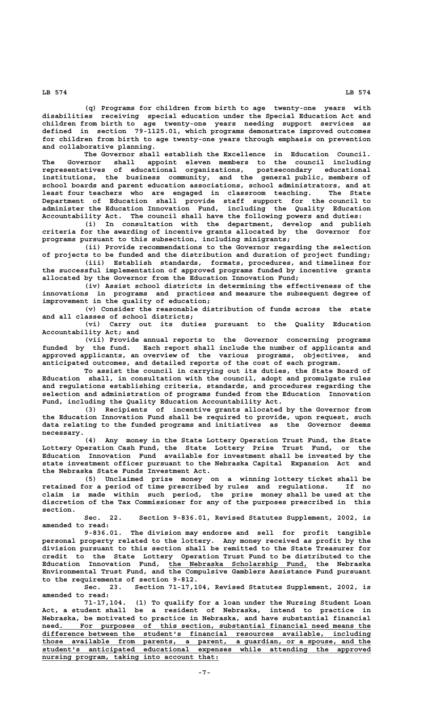**(q) Programs for children from birth to age twenty-one years with disabilities receiving special education under the Special Education Act and children from birth to age twenty-one years needing support services as defined in section 79-1125.01, which programs demonstrate improved outcomes for children from birth to age twenty-one years through emphasis on prevention and collaborative planning.**

**The Governor shall establish the Excellence in Education Council. The Governor shall appoint eleven members to the council including representatives of educational organizations, postsecondary educational institutions, the business community, and the general public, members of school boards and parent education associations, school administrators, and at least four teachers who are engaged in classroom teaching. The State Department of Education shall provide staff support for the council to administer the Education Innovation Fund, including the Quality Education Accountability Act. The council shall have the following powers and duties:**

**(i) In consultation with the department, develop and publish criteria for the awarding of incentive grants allocated by the Governor for programs pursuant to this subsection, including minigrants;**

**(ii) Provide recommendations to the Governor regarding the selection of projects to be funded and the distribution and duration of project funding; (iii) Establish standards, formats, procedures, and timelines for**

**the successful implementation of approved programs funded by incentive grants allocated by the Governor from the Education Innovation Fund;**

**(iv) Assist school districts in determining the effectiveness of the innovations in programs and practices and measure the subsequent degree of improvement in the quality of education;**

**(v) Consider the reasonable distribution of funds across the state and all classes of school districts;**

**(vi) Carry out its duties pursuant to the Quality Education Accountability Act; and**

**(vii) Provide annual reports to the Governor concerning programs funded by the fund. Each report shall include the number of applicants and approved applicants, an overview of the various programs, objectives, and anticipated outcomes, and detailed reports of the cost of each program.**

**To assist the council in carrying out its duties, the State Board of Education shall, in consultation with the council, adopt and promulgate rules and regulations establishing criteria, standards, and procedures regarding the selection and administration of programs funded from the Education Innovation Fund, including the Quality Education Accountability Act.**

**(3) Recipients of incentive grants allocated by the Governor from the Education Innovation Fund shall be required to provide, upon request, such data relating to the funded programs and initiatives as the Governor deems necessary.**

**(4) Any money in the State Lottery Operation Trust Fund, the State Lottery Operation Cash Fund, the State Lottery Prize Trust Fund, or the Education Innovation Fund available for investment shall be invested by the state investment officer pursuant to the Nebraska Capital Expansion Act and the Nebraska State Funds Investment Act.**

**(5) Unclaimed prize money on a winning lottery ticket shall be retained for a period of time prescribed by rules and regulations. If no claim is made within such period, the prize money shall be used at the discretion of the Tax Commissioner for any of the purposes prescribed in this section.**

**Sec. 22. Section 9-836.01, Revised Statutes Supplement, 2002, is amended to read:**

**9-836.01. The division may endorse and sell for profit tangible personal property related to the lottery. Any money received as profit by the division pursuant to this section shall be remitted to the State Treasurer for credit to the State Lottery Operation Trust Fund to be distributed to the \_\_\_\_\_\_\_\_\_\_\_\_\_\_\_\_\_\_\_\_\_\_\_\_\_\_\_\_\_\_\_\_\_ Education Innovation Fund, the Nebraska Scholarship Fund, the Nebraska Environmental Trust Fund, and the Compulsive Gamblers Assistance Fund pursuant to the requirements of section 9-812.**

**Sec. 23. Section 71-17,104, Revised Statutes Supplement, 2002, is amended to read:**

**71-17,104. (1) To qualify for a loan under the Nursing Student Loan Act, a student shall be a resident of Nebraska, intend to practice in Nebraska, be motivated to practice in Nebraska, and have substantial financial**  $need.$  For purposes of this section, substantial financial need means the  **\_\_\_\_\_\_\_\_\_\_\_\_\_\_\_\_\_\_\_\_\_\_\_\_\_\_\_\_\_\_\_\_\_\_\_\_\_\_\_\_\_\_\_\_\_\_\_\_\_\_\_\_\_\_\_\_\_\_\_\_\_\_\_\_\_\_\_\_\_\_\_\_\_\_\_\_\_\_ difference between the student's financial resources available, including \_\_\_\_\_\_\_\_\_\_\_\_\_\_\_\_\_\_\_\_\_\_\_\_\_\_\_\_\_\_\_\_\_\_\_\_\_\_\_\_\_\_\_\_\_\_\_\_\_\_\_\_\_\_\_\_\_\_\_\_\_\_\_\_\_\_\_\_\_\_\_\_\_\_\_\_\_\_ those available from parents, a parent, a guardian, or a spouse, and the \_\_\_\_\_\_\_\_\_\_\_\_\_\_\_\_\_\_\_\_\_\_\_\_\_\_\_\_\_\_\_\_\_\_\_\_\_\_\_\_\_\_\_\_\_\_\_\_\_\_\_\_\_\_\_\_\_\_\_\_\_\_\_\_\_\_\_\_\_\_\_\_\_\_\_\_\_\_ student's anticipated educational expenses while attending the approved**  $\frac{musing~program,~ taking~into~account~that:}{}$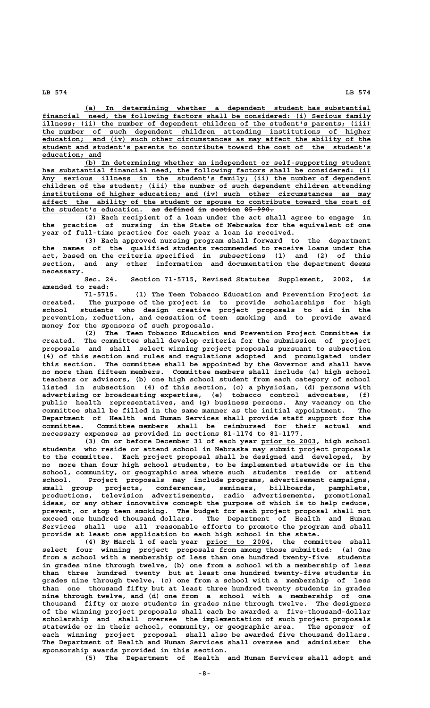**(a)** In determining whether a dependent student has substantial<br>financial need, the following factors shall be considered: (i) Serious family<br>illness: (ii) the number of need, the following factors shall be considered: (i) Serious family illness; (ii) the number of dependent children of the student's parents; (iii)  **\_\_\_\_\_\_\_\_\_\_\_\_\_\_\_\_\_\_\_\_\_\_\_\_\_\_\_\_\_\_\_\_\_\_\_\_\_\_\_\_\_\_\_\_\_\_\_\_\_\_\_\_\_\_\_\_\_\_\_\_\_\_\_\_\_\_\_\_\_\_\_\_\_\_\_\_\_\_ the number of such dependent children attending institutions of higher \_\_\_\_\_\_\_\_\_\_\_\_\_\_\_\_\_\_\_\_\_\_\_\_\_\_\_\_\_\_\_\_\_\_\_\_\_\_\_\_\_\_\_\_\_\_\_\_\_\_\_\_\_\_\_\_\_\_\_\_\_\_\_\_\_\_\_\_\_\_\_\_\_\_\_\_\_\_ education; and (iv) such other circumstances as may affect the ability of the \_\_\_\_\_\_\_\_\_\_\_\_\_\_\_\_\_\_\_\_\_\_\_\_\_\_\_\_\_\_\_\_\_\_\_\_\_\_\_\_\_\_\_\_\_\_\_\_\_\_\_\_\_\_\_\_\_\_\_\_\_\_\_\_\_\_\_\_\_\_\_\_\_\_\_\_\_\_ student and student's parents to contribute toward the cost of the student's** education; and

 **\_\_\_\_\_\_\_\_\_\_\_\_\_\_\_\_\_\_\_\_\_\_\_\_\_\_\_\_\_\_\_\_\_\_\_\_\_\_\_\_\_\_\_\_\_\_\_\_\_\_\_\_\_\_\_\_\_\_\_\_\_\_\_\_\_\_\_\_ (b) In determining whether an independent or self-supporting student \_\_\_\_\_\_\_\_\_\_\_\_\_\_\_\_\_\_\_\_\_\_\_\_\_\_\_\_\_\_\_\_\_\_\_\_\_\_\_\_\_\_\_\_\_\_\_\_\_\_\_\_\_\_\_\_\_\_\_\_\_\_\_\_\_\_\_\_\_\_\_\_\_\_\_\_\_\_ has substantial financial need, the following factors shall be considered: (i) \_\_\_\_\_\_\_\_\_\_\_\_\_\_\_\_\_\_\_\_\_\_\_\_\_\_\_\_\_\_\_\_\_\_\_\_\_\_\_\_\_\_\_\_\_\_\_\_\_\_\_\_\_\_\_\_\_\_\_\_\_\_\_\_\_\_\_\_\_\_\_\_\_\_\_\_\_\_ Any serious illness in the student's family; (ii) the number of dependent \_\_\_\_\_\_\_\_\_\_\_\_\_\_\_\_\_\_\_\_\_\_\_\_\_\_\_\_\_\_\_\_\_\_\_\_\_\_\_\_\_\_\_\_\_\_\_\_\_\_\_\_\_\_\_\_\_\_\_\_\_\_\_\_\_\_\_\_\_\_\_\_\_\_\_\_\_\_ children of the student; (iii) the number of such dependent children attending \_\_\_\_\_\_\_\_\_\_\_\_\_\_\_\_\_\_\_\_\_\_\_\_\_\_\_\_\_\_\_\_\_\_\_\_\_\_\_\_\_\_\_\_\_\_\_\_\_\_\_\_\_\_\_\_\_\_\_\_\_\_\_\_\_\_\_\_\_\_\_\_\_\_\_\_\_\_ institutions of higher education; and (iv) such other circumstances as may \_\_\_\_\_\_\_\_\_\_\_\_\_\_\_\_\_\_\_\_\_\_\_\_\_\_\_\_\_\_\_\_\_\_\_\_\_\_\_\_\_\_\_\_\_\_\_\_\_\_\_\_\_\_\_\_\_\_\_\_\_\_\_\_\_\_\_\_\_\_\_\_\_\_\_\_\_\_ affect the ability of the student or spouse to contribute toward the cost of** the student's education. as defined in section 85-990.

**(2) Each recipient of a loan under the act shall agree to engage in the practice of nursing in the State of Nebraska for the equivalent of one year of full-time practice for each year a loan is received.**

**(3) Each approved nursing program shall forward to the department the names of the qualified students recommended to receive loans under the act, based on the criteria specified in subsections (1) and (2) of this section, and any other information and documentation the department deems necessary.**

**Sec. 24. Section 71-5715, Revised Statutes Supplement, 2002, is amended to read:**

**71-5715. (1) The Teen Tobacco Education and Prevention Project is created. The purpose of the project is to provide scholarships for high school students who design creative project proposals to aid in the prevention, reduction, and cessation of teen smoking and to provide award money for the sponsors of such proposals.**

**(2) The Teen Tobacco Education and Prevention Project Committee is created. The committee shall develop criteria for the submission of project proposals and shall select winning project proposals pursuant to subsection (4) of this section and rules and regulations adopted and promulgated under this section. The committee shall be appointed by the Governor and shall have no more than fifteen members. Committee members shall include (a) high school teachers or advisors, (b) one high school student from each category of school listed in subsection (4) of this section, (c) a physician, (d) persons with advertising or broadcasting expertise, (e) tobacco control advocates, (f) public health representatives, and (g) business persons. Any vacancy on the committee shall be filled in the same manner as the initial appointment. The Department of Health and Human Services shall provide staff support for the committee. Committee members shall be reimbursed for their actual and necessary expenses as provided in sections 81-1174 to 81-1177.**

**(3) On or before December 31 of each year prior to 2003, high school \_\_\_\_\_\_\_\_\_\_\_\_\_ students who reside or attend school in Nebraska may submit project proposals to the committee. Each project proposal shall be designed and developed, by no more than four high school students, to be implemented statewide or in the school, community, or geographic area where such students reside or attend school. Project proposals may include programs, advertisement campaigns, small group projects, conferences, seminars, billboards, pamphlets, productions, television advertisements, radio advertisements, promotional ideas, or any other innovative concept the purpose of which is to help reduce, prevent, or stop teen smoking. The budget for each project proposal shall not exceed one hundred thousand dollars. The Department of Health and Human Services shall use all reasonable efforts to promote the program and shall provide at least one application to each high school in the state.**

 **\_\_\_\_\_\_\_\_\_\_\_\_\_\_\_ (4) By March 1 of each year prior to 2004, the committee shall select four winning project proposals from among those submitted: (a) One from a school with a membership of less than one hundred twenty-five students in grades nine through twelve, (b) one from a school with a membership of less than three hundred twenty but at least one hundred twenty-five students in grades nine through twelve, (c) one from a school with a membership of less than one thousand fifty but at least three hundred twenty students in grades nine through twelve, and (d) one from a school with a membership of one thousand fifty or more students in grades nine through twelve. The designers of the winning project proposals shall each be awarded a five-thousand-dollar scholarship and shall oversee the implementation of such project proposals statewide or in their school, community, or geographic area. The sponsor of each winning project proposal shall also be awarded five thousand dollars. The Department of Health and Human Services shall oversee and administer the sponsorship awards provided in this section.**

**(5) The Department of Health and Human Services shall adopt and**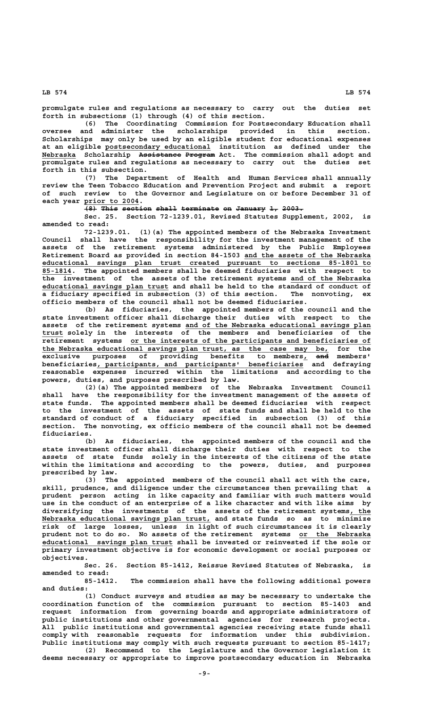**promulgate rules and regulations as necessary to carry out the duties set forth in subsections (1) through (4) of this section.**

**(6) The Coordinating Commission for Postsecondary Education shall oversee and administer the scholarships provided in this section. Scholarships may only be used by an eligible student for educational expenses \_\_\_\_\_\_\_\_\_\_\_\_\_\_\_\_\_\_\_\_\_\_\_\_\_ at an eligible postsecondary educational institution as defined under the \_\_\_\_\_\_\_\_ —————————— ——————— Nebraska Scholarship Assistance Program Act. The commission shall adopt and promulgate rules and regulations as necessary to carry out the duties set forth in this subsection.**

**(7) The Department of Health and Human Services shall annually review the Teen Tobacco Education and Prevention Project and submit a report of such review to the Governor and Legislature on or before December 31 of \_\_\_\_\_\_\_\_\_\_\_\_\_ each year prior to 2004.**

 $\overline{+8}$  This section shall terminate on January 1, 2003.

**Sec. 25. Section 72-1239.01, Revised Statutes Supplement, 2002, is amended to read:**

**72-1239.01. (1)(a) The appointed members of the Nebraska Investment Council shall have the responsibility for the investment management of the assets of the retirement systems administered by the Public Employees** Retirement Board as provided in section 84-1503 and the assets of the Nebraska  **\_\_\_\_\_\_\_\_\_\_\_\_\_\_\_\_\_\_\_\_\_\_\_\_\_\_\_\_\_\_\_\_\_\_\_\_\_\_\_\_\_\_\_\_\_\_\_\_\_\_\_\_\_\_\_\_\_\_\_\_\_\_\_\_\_\_\_\_\_\_\_\_\_\_\_\_\_\_ educational savings plan trust created pursuant to sections 85-1801 to \_\_\_\_\_\_\_ 85-1814. The appointed members shall be deemed fiduciaries with respect to** the investment of the assets of the retirement systems and of the Nebraska  **\_\_\_\_\_\_\_\_\_\_\_\_\_\_\_\_\_\_\_\_\_\_\_\_\_\_\_\_\_\_ educational savings plan trust and shall be held to the standard of conduct of a fiduciary specified in subsection (3) of this section. The nonvoting, ex officio members of the council shall not be deemed fiduciaries.**

**(b) As fiduciaries, the appointed members of the council and the state investment officer shall discharge their duties with respect to the \_\_\_\_\_\_\_\_\_\_\_\_\_\_\_\_\_\_\_\_\_\_\_\_\_\_\_\_\_\_\_\_\_\_\_\_\_\_\_\_\_\_\_\_ assets of the retirement systems and of the Nebraska educational savings plan \_\_\_\_\_ trust solely in the interests of the members and beneficiaries of the**  $\overline{\phantom{a}}$  retirement systems or the interests of the participants and beneficiaries of  **\_\_\_\_\_\_\_\_\_\_\_\_\_\_\_\_\_\_\_\_\_\_\_\_\_\_\_\_\_\_\_\_\_\_\_\_\_\_\_\_\_\_\_\_\_\_\_\_\_\_\_\_\_\_\_\_\_\_\_\_\_\_\_\_\_\_\_\_ the Nebraska educational savings plan trust, as the case may be, for the exclusive purposes of providing benefits to members, and members' \_ ——** exclusive purposes of providing benefits to members, and members'<br>beneficiaries, participants, and participants' beneficiaries and defraying **reasonable expenses incurred within the limitations and according to the powers, duties, and purposes prescribed by law.**

> **(2)(a) The appointed members of the Nebraska Investment Council shall have the responsibility for the investment management of the assets of state funds. The appointed members shall be deemed fiduciaries with respect to the investment of the assets of state funds and shall be held to the standard of conduct of a fiduciary specified in subsection (3) of this section. The nonvoting, ex officio members of the council shall not be deemed fiduciaries.**

> **(b) As fiduciaries, the appointed members of the council and the state investment officer shall discharge their duties with respect to the assets of state funds solely in the interests of the citizens of the state within the limitations and according to the powers, duties, and purposes prescribed by law.**

**(3) The appointed members of the council shall act with the care, skill, prudence, and diligence under the circumstances then prevailing that a prudent person acting in like capacity and familiar with such matters would use in the conduct of an enterprise of a like character and with like aims by diversifying the investments of the assets of the retirement systems, the \_\_\_\_\_ \_\_\_\_\_\_\_\_\_\_\_\_\_\_\_\_\_\_\_\_\_\_\_\_\_\_\_\_\_\_\_\_\_\_\_\_\_\_\_\_ Nebraska educational savings plan trust, and state funds so as to minimize risk of large losses, unless in light of such circumstances it is clearly prudent not to do so. No assets of the retirement systems or the Nebraska \_\_\_\_\_\_\_\_\_\_\_\_\_\_\_\_\_ \_\_\_\_\_\_\_\_\_\_\_\_\_\_\_\_\_\_\_\_\_\_\_\_\_\_\_\_\_\_\_ educational savings plan trust shall be invested or reinvested if the sole or primary investment objective is for economic development or social purposes or objectives.**

> **Sec. 26. Section 85-1412, Reissue Revised Statutes of Nebraska, is amended to read:**

> **85-1412. The commission shall have the following additional powers and duties:**

> **(1) Conduct surveys and studies as may be necessary to undertake the coordination function of the commission pursuant to section 85-1403 and request information from governing boards and appropriate administrators of public institutions and other governmental agencies for research projects. All public institutions and governmental agencies receiving state funds shall comply with reasonable requests for information under this subdivision. Public institutions may comply with such requests pursuant to section 85-1417;**

> **(2) Recommend to the Legislature and the Governor legislation it deems necessary or appropriate to improve postsecondary education in Nebraska**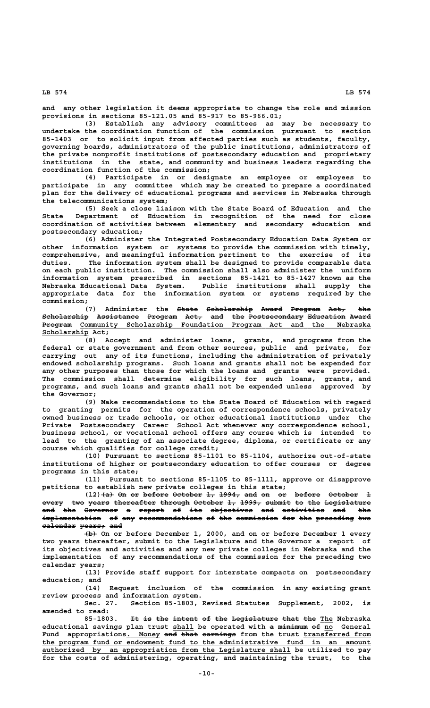**and any other legislation it deems appropriate to change the role and mission provisions in sections 85-121.05 and 85-917 to 85-966.01;**

**(3) Establish any advisory committees as may be necessary to undertake the coordination function of the commission pursuant to section 85-1403 or to solicit input from affected parties such as students, faculty, governing boards, administrators of the public institutions, administrators of the private nonprofit institutions of postsecondary education and proprietary institutions in the state, and community and business leaders regarding the coordination function of the commission;**

**(4) Participate in or designate an employee or employees to participate in any committee which may be created to prepare a coordinated plan for the delivery of educational programs and services in Nebraska through the telecommunications system;**

**(5) Seek a close liaison with the State Board of Education and the State Department of Education in recognition of the need for close coordination of activities between elementary and secondary education and postsecondary education;**

**(6) Administer the Integrated Postsecondary Education Data System or other information system or systems to provide the commission with timely, comprehensive, and meaningful information pertinent to the exercise of its duties. The information system shall be designed to provide comparable data on each public institution. The commission shall also administer the uniform information system prescribed in sections 85-1421 to 85-1427 known as the Nebraska Educational Data System. Public institutions shall supply the appropriate data for the information system or systems required by the commission;**

(7) Administer the State Scholarship Award Program Act, the **Scholarship Assistance Program Act, and the Postsecondary Education Award ——————————— —————————— ——————— ———— ——— ——— ————————————— ————————— ————— ——————— \_\_\_\_\_\_\_\_\_\_\_\_\_\_\_\_\_\_\_\_\_\_\_\_\_\_\_\_\_\_\_\_\_\_\_\_\_\_\_\_\_\_\_\_\_\_\_\_\_\_\_\_\_\_\_\_\_\_\_\_\_\_\_\_\_\_\_\_\_ Program Community Scholarship Foundation Program Act and the Nebraska** Scholarship Act;

> **(8) Accept and administer loans, grants, and programs from the federal or state government and from other sources, public and private, for carrying out any of its functions, including the administration of privately endowed scholarship programs. Such loans and grants shall not be expended for any other purposes than those for which the loans and grants were provided. The commission shall determine eligibility for such loans, grants, and programs, and such loans and grants shall not be expended unless approved by the Governor;**

> **(9) Make recommendations to the State Board of Education with regard to granting permits for the operation of correspondence schools, privately owned business or trade schools, or other educational institutions under the Private Postsecondary Career School Act whenever any correspondence school, business school, or vocational school offers any course which is intended to lead to the granting of an associate degree, diploma, or certificate or any course which qualifies for college credit;**

> **(10) Pursuant to sections 85-1101 to 85-1104, authorize out-of-state institutions of higher or postsecondary education to offer courses or degree programs in this state;**

> **(11) Pursuant to sections 85-1105 to 85-1111, approve or disapprove petitions to establish new private colleges in this state;**

> **(12)(a) On or before October 1, 1994, and on or before October 1 ——— —— —— —————— ——————— —— ————— ——— —— —— —————— ——————— every** two years thereafter through October 1, 1999, submit to the Legislature **and the Governor a report of its objectives and activities and the ——— ——— ———————— — —————— —— ——— —————————— ——— —————————— ——— —— implementation of any recommendations of the commission for the preceding two —————————————— —— ——— ——————————————— —— ——— —————————— ——— ——— ————————— —— calendar years; and ———————— —————— ———**

> **——— (b) On or before December 1, 2000, and on or before December 1 every two years thereafter, submit to the Legislature and the Governor a report of its objectives and activities and any new private colleges in Nebraska and the implementation of any recommendations of the commission for the preceding two calendar years;**

> **(13) Provide staff support for interstate compacts on postsecondary education; and**

> **(14) Request inclusion of the commission in any existing grant review process and information system.**

> **Sec. 27. Section 85-1803, Revised Statutes Supplement, 2002, is amended to read:**

> 85-1803. It is the intent of the Legislature that the The Nebraska **educational savings plan trust shall be operated with a minimum of no General \_\_\_\_\_ — ——————— —— \_\_** Fund appropriations. Money and that earnings from the trust transferred from the program fund or endowment fund to the administrative fund in an amount  **\_\_\_\_\_\_\_\_\_\_\_\_\_\_\_\_\_\_\_\_\_\_\_\_\_\_\_\_\_\_\_\_\_\_\_\_\_\_\_\_\_\_\_\_\_\_\_\_\_\_\_\_\_\_\_\_\_\_\_ authorized by an appropriation from the Legislature shall be utilized to pay for the costs of administering, operating, and maintaining the trust, to the**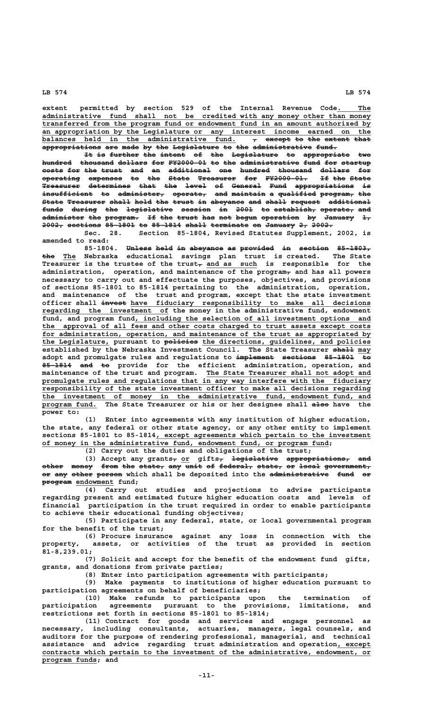**extent permitted by section 529 of the Internal Revenue Code. The \_\_\_\_\_\_\_\_ \_\_\_\_\_\_\_\_\_\_\_\_\_\_\_\_\_\_\_\_\_\_\_\_\_\_\_\_\_\_\_\_\_\_\_\_\_\_\_\_\_\_\_\_\_\_\_\_\_\_\_\_\_\_\_\_\_\_\_\_\_\_\_\_\_\_\_\_\_\_\_\_\_\_\_\_\_\_ administrative fund shall not be credited with any money other than money \_\_\_\_\_\_\_\_\_\_\_\_\_\_\_\_\_\_\_\_\_\_\_\_\_\_\_\_\_\_\_\_\_\_\_\_\_\_\_\_\_\_\_\_\_\_\_\_\_\_\_\_\_\_\_\_\_\_\_\_\_\_\_\_\_\_\_\_\_\_\_\_\_\_\_\_\_\_ transferred from the program fund or endowment fund in an amount authorized by \_\_\_\_\_\_\_\_\_\_\_\_\_\_\_\_\_\_\_\_\_\_\_\_\_\_\_\_\_\_\_\_\_\_\_\_\_\_\_\_\_\_\_\_\_\_\_\_\_\_\_\_\_\_\_\_\_\_\_\_\_\_\_\_\_\_\_\_\_\_\_\_\_\_\_\_\_\_ an appropriation by the Legislature or any interest income earned on the** balances held in the administrative fund.  $\tau$  <del>except-to-the extent-that</del> **appropriations are made by the Legislature to the administrative fund. —————————————— ——— ———— —— ——— ——————————— —— ——— —————————————— —————**

It is further the intent of the Legislature to appropriate two hundred thousand dollars for FY2000-01 to the administrative fund for startup **costs for the trust and an additional one hundred thousand dollars for ————— ——— ——— ————— ——— —— —————————— ——— ——————— ———————— ——————— —— operating expenses to the State Treasurer for FY2000-01. If the State ————————— ———————— —— ——— ————— ————————— ——— —————————— —— ——— ————— Treasurer determines that the level of General Fund appropriations is ————————— —————————— ———— ——— ————— —— ——————— ———— —————————————— — insufficient to administer, operate, and maintain a qualified program, the ———————————— —— ——————————— ———————— ——— ———————— — ————————— ———————— ——— State Treasurer shall hold the trust in abeyance and shall request additional ————— ————————— ————— ———— ——— ————— —— ———————— ——— ————— ——————— ————————— funds during the legislative session in 2001 to establish, operate, and ————— —————— ——— ——————————— ——————— —— ———— —— —————————— ———————— ——** administer the program. If the trust has not begun operation by January 1, **2002, sections 85-1801 to 85-1814 shall terminate on January 2, 2002. ————— ———————— ——————— —— ——————— ————— ————————— —— ——————— —— —————**

**Sec. 28. Section 85-1804, Revised Statutes Supplement, 2002, is amended to read:**

85-1804. Unless held in abeyance as provided in section 85-1803,  **——— \_\_\_ the The Nebraska educational savings plan trust is created. The State** Treasurer is the trustee of the trust<sub>r</sub> and as such is responsible for the **administration, operation, and maintenance of the program, and has all powers necessary to carry out and effectuate the purposes, objectives, and provisions of sections 85-1801 to 85-1814 pertaining to the administration, operation, and maintenance of the trust and program, except that the state investment —————— \_\_\_\_\_\_\_\_\_\_\_\_\_\_\_\_\_\_\_\_\_\_\_\_\_\_\_\_\_\_\_\_\_\_\_\_\_\_\_\_\_\_\_\_\_\_\_\_\_\_\_\_\_\_\_\_\_ officer shall invest have fiduciary responsibility to make all decisions \_\_\_\_\_\_\_\_\_\_\_\_\_\_\_\_\_\_\_\_\_\_\_\_\_\_\_\_\_\_ regarding the investment of the money in the administrative fund, endowment** fund, and program fund, including the selection of all investment options and  **\_\_\_\_\_\_\_\_\_\_\_\_\_\_\_\_\_\_\_\_\_\_\_\_\_\_\_\_\_\_\_\_\_\_\_\_\_\_\_\_\_\_\_\_\_\_\_\_\_\_\_\_\_\_\_\_\_\_\_\_\_\_\_\_\_\_\_\_\_\_\_\_\_\_\_\_\_\_ the approval of all fees and other costs charged to trust assets except costs** for administration, operation, and maintenance of the trust as appropriated by  **\_\_\_\_\_\_\_\_\_\_\_\_\_\_\_\_ ———————— \_\_\_\_\_\_\_\_\_\_\_\_\_\_\_\_\_\_\_\_\_\_\_\_\_\_\_\_\_\_\_\_\_\_\_\_\_\_\_\_ the Legislature, pursuant to policies the directions, guidelines, and policies established by the Nebraska Investment Council. The State Treasurer shall may** adopt and promulgate rules and regulations to implement sections 85-1801 to 85-1814 and to provide for the efficient administration, operation, and  **\_\_\_\_\_\_\_\_\_\_\_\_\_\_\_\_\_\_\_\_\_\_\_\_\_\_\_\_\_\_\_\_\_\_\_\_\_\_\_ maintenance of the trust and program. The State Treasurer shall not adopt and \_\_\_\_\_\_\_\_\_\_\_\_\_\_\_\_\_\_\_\_\_\_\_\_\_\_\_\_\_\_\_\_\_\_\_\_\_\_\_\_\_\_\_\_\_\_\_\_\_\_\_\_\_\_\_\_\_\_\_\_\_\_\_\_\_\_\_\_\_\_\_\_\_\_\_\_\_\_ promulgate rules and regulations that in any way interfere with the fiduciary \_\_\_\_\_\_\_\_\_\_\_\_\_\_\_\_\_\_\_\_\_\_\_\_\_\_\_\_\_\_\_\_\_\_\_\_\_\_\_\_\_\_\_\_\_\_\_\_\_\_\_\_\_\_\_\_\_\_\_\_\_\_\_\_\_\_\_\_\_\_\_\_\_\_\_\_\_\_ responsibility of the state investment officer to make all decisions regarding \_\_\_\_\_\_\_\_\_\_\_\_\_\_\_\_\_\_\_\_\_\_\_\_\_\_\_\_\_\_\_\_\_\_\_\_\_\_\_\_\_\_\_\_\_\_\_\_\_\_\_\_\_\_\_\_\_\_\_\_\_\_\_\_\_\_\_\_\_\_\_\_\_\_\_\_\_\_ the investment of money in the administrative fund, endowment fund, and \_\_\_\_\_\_\_\_\_\_\_\_\_ ———— program fund. The State Treasurer or his or her designee shall also have the power to:**

> **(1) Enter into agreements with any institution of higher education, the state, any federal or other state agency, or any other entity to implement** sections 85-1801 to 85-1814, except agreements which pertain to the investment  **\_\_\_\_\_\_\_\_\_\_\_\_\_\_\_\_\_\_\_\_\_\_\_\_\_\_\_\_\_\_\_\_\_\_\_\_\_\_\_\_\_\_\_\_\_\_\_\_\_\_\_\_\_\_\_\_\_\_\_\_\_\_\_\_\_\_\_\_ of money in the administrative fund, endowment fund, or program fund;**

**(2) Carry out the duties and obligations of the trust;**

(3) Accept any grants<sub>r</sub> or gifts<sub>r</sub> legislative appropriations, and **other money from the state, any unit of federal, state, or local government, ————— ————— ———— ——— —————— ——— ———— —— ———————— —————— —— ————— —————————— or any other person which shall be deposited into the administrative fund or ——————— \_\_\_\_\_\_\_\_\_ program endowment fund;**

**(4) Carry out studies and projections to advise participants regarding present and estimated future higher education costs and levels of financial participation in the trust required in order to enable participants to achieve their educational funding objectives;**

**(5) Participate in any federal, state, or local governmental program for the benefit of the trust;**

**(6) Procure insurance against any loss in connection with the property, assets, or activities of the trust as provided in section 81-8,239.01;**

**(7) Solicit and accept for the benefit of the endowment fund gifts, grants, and donations from private parties;**

**(8) Enter into participation agreements with participants;**

**(9) Make payments to institutions of higher education pursuant to participation agreements on behalf of beneficiaries;**

**(10) Make refunds to participants upon the termination of participation agreements pursuant to the provisions, limitations, and restrictions set forth in sections 85-1801 to 85-1814;**

**(11) Contract for goods and services and engage personnel as necessary, including consultants, actuaries, managers, legal counsels, and** necessary, including consultants, actuaries, managers, legal counsels, and<br>auditors for the purpose of rendering professional, managerial, and technical **assistance and advice regarding trust administration and operation, except \_\_\_\_\_\_\_\_** contracts which pertain to the investment of the administrative, endowment, or  **\_\_\_\_\_\_\_\_\_\_\_\_\_ program funds; and**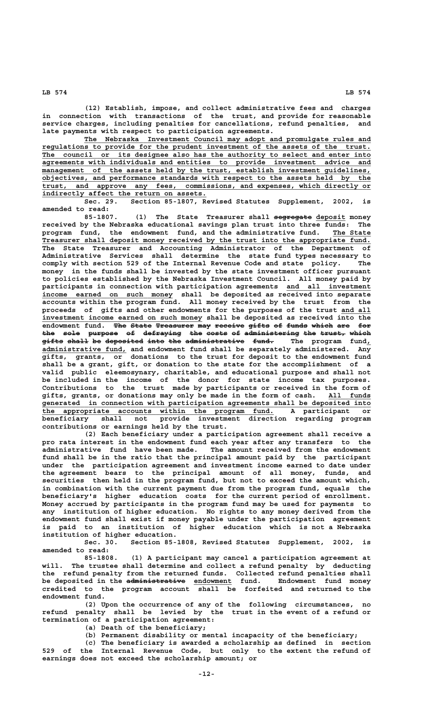**(12) Establish, impose, and collect administrative fees and charges in connection with transactions of the trust, and provide for reasonable service charges, including penalties for cancellations, refund penalties, and**

**late payments with respect to participation agreements. \_\_\_\_\_\_\_\_\_\_\_\_\_\_\_\_\_\_\_\_\_\_\_\_\_\_\_\_\_\_\_\_\_\_\_\_\_\_\_\_\_\_\_\_\_\_\_\_\_\_\_\_\_\_\_\_\_\_\_\_\_\_\_\_\_\_\_\_ The Nebraska Investment Council may adopt and promulgate rules and \_\_\_\_\_\_\_\_\_\_\_\_\_\_\_\_\_\_\_\_\_\_\_\_\_\_\_\_\_\_\_\_\_\_\_\_\_\_\_\_\_\_\_\_\_\_\_\_\_\_\_\_\_\_\_\_\_\_\_\_\_\_\_\_\_\_\_\_\_\_\_\_\_\_\_\_\_\_ regulations to provide for the prudent investment of the assets of the trust. \_\_\_\_\_\_\_\_\_\_\_\_\_\_\_\_\_\_\_\_\_\_\_\_\_\_\_\_\_\_\_\_\_\_\_\_\_\_\_\_\_\_\_\_\_\_\_\_\_\_\_\_\_\_\_\_\_\_\_\_\_\_\_\_\_\_\_\_\_\_\_\_\_\_\_\_\_\_ The council or its designee also has the authority to select and enter into \_\_\_\_\_\_\_\_\_\_\_\_\_\_\_\_\_\_\_\_\_\_\_\_\_\_\_\_\_\_\_\_\_\_\_\_\_\_\_\_\_\_\_\_\_\_\_\_\_\_\_\_\_\_\_\_\_\_\_\_\_\_\_\_\_\_\_\_\_\_\_\_\_\_\_\_\_\_ agreements with individuals and entities to provide investment advice and**  $\overline{$  management of the assets held by the trust, establish investment guidelines,  **\_\_\_\_\_\_\_\_\_\_\_\_\_\_\_\_\_\_\_\_\_\_\_\_\_\_\_\_\_\_\_\_\_\_\_\_\_\_\_\_\_\_\_\_\_\_\_\_\_\_\_\_\_\_\_\_\_\_\_\_\_\_\_\_\_\_\_\_\_\_\_\_\_\_\_\_\_\_ objectives, and performance standards with respect to the assets held by the \_\_\_\_\_\_\_\_\_\_\_\_\_\_\_\_\_\_\_\_\_\_\_\_\_\_\_\_\_\_\_\_\_\_\_\_\_\_\_\_\_\_\_\_\_\_\_\_\_\_\_\_\_\_\_\_\_\_\_\_\_\_\_\_\_\_\_\_\_\_\_\_\_\_\_\_\_\_ trust, and approve any fees, commissions, and expenses, which directly or \_\_\_\_\_\_\_\_\_\_\_\_\_\_\_\_\_\_\_\_\_\_\_\_\_\_\_\_\_\_\_\_\_\_\_\_\_\_\_ indirectly affect the return on assets.**

**Sec. 29. Section 85-1807, Revised Statutes Supplement, 2002, is amended to read:**

85-1807. (1) The State Treasurer shall segregate deposit money **received by the Nebraska educational savings plan trust into three funds: The** program fund, the endowment fund, and the administrative fund. The State  **\_\_\_\_\_\_\_\_\_\_\_\_\_\_\_\_\_\_\_\_\_\_\_\_\_\_\_\_\_\_\_\_\_\_\_\_\_\_\_\_\_\_\_\_\_\_\_\_\_\_\_\_\_\_\_\_\_\_\_\_\_\_\_\_\_\_\_\_\_\_\_\_\_\_\_\_\_\_ Treasurer shall deposit money received by the trust into the appropriate fund. The State Treasurer and Accounting Administrator of the Department of Administrative Services shall determine the state fund types necessary to comply with section 529 of the Internal Revenue Code and state policy. The money in the funds shall be invested by the state investment officer pursuant to policies established by the Nebraska Investment Council. All money paid by** participants in connection with participation agreements and all investment  **\_\_\_\_\_\_\_\_\_\_\_\_\_\_\_\_\_\_\_\_\_\_\_\_\_\_\_\_\_\_\_ income earned on such money shall be deposited as received into separate accounts within the program fund. All money received by the trust from the proceeds of gifts and other endowments for the purposes of the trust and all \_\_\_\_\_\_\_** investment income earned on such money shall be deposited as received into the endowment fund. The State Treasurer may receive gifts of funds which are **the sole purpose of defraying the costs of administering the trust, which ——— ———— ——————— —— ————————— ——— ————— —— ————————————— ——— —————— ————** gifts shall be deposited into the administrative fund. The program fund,  **\_\_\_\_\_\_\_\_\_\_\_\_\_\_\_\_\_\_\_\_ administrative fund, and endowment fund shall be separately administered. Any gifts, grants, or donations to the trust for deposit to the endowment fund shall be a grant, gift, or donation to the state for the accomplishment of a valid public eleemosynary, charitable, and educational purpose and shall not be included in the income of the donor for state income tax purposes. Contributions to the trust made by participants or received in the form of gifts, grants, or donations may only be made in the form of cash. All funds \_\_\_\_\_\_\_\_\_\_** generated in connection with participation agreements shall be deposited into  **\_\_\_\_\_\_\_\_\_\_\_\_\_\_\_\_\_\_\_\_\_\_\_\_\_\_\_\_\_\_\_\_\_\_\_\_\_\_\_\_\_\_\_\_\_\_\_\_\_\_\_\_\_\_\_ the appropriate accounts within the program fund. A participant or beneficiary shall not provide investment direction regarding program contributions or earnings held by the trust.**

> **(2) Each beneficiary under a participation agreement shall receive a pro rata interest in the endowment fund each year after any transfers to the administrative fund have been made. The amount received from the endowment fund shall be in the ratio that the principal amount paid by the participant under the participation agreement and investment income earned to date under the agreement bears to the principal amount of all money, funds, and securities then held in the program fund, but not to exceed the amount which, in combination with the current payment due from the program fund, equals the beneficiary's higher education costs for the current period of enrollment. Money accrued by participants in the program fund may be used for payments to any institution of higher education. No rights to any money derived from the endowment fund shall exist if money payable under the participation agreement is paid to an institution of higher education which is not a Nebraska institution of higher education.**

> **Sec. 30. Section 85-1808, Revised Statutes Supplement, 2002, is amended to read:**

**85-1808. (1) A participant may cancel a participation agreement at will. The trustee shall determine and collect a refund penalty by deducting the refund penalty from the returned funds. Collected refund penalties shall —————————————— \_\_\_\_\_\_\_\_\_ be deposited in the administrative endowment fund. Endowment fund money credited to the program account shall be forfeited and returned to the endowment fund.**

**(2) Upon the occurrence of any of the following circumstances, no refund penalty shall be levied by the trust in the event of a refund or termination of a participation agreement:**

**(a) Death of the beneficiary;**

**(b) Permanent disability or mental incapacity of the beneficiary;**

**(c) The beneficiary is awarded a scholarship as defined in section 529 of the Internal Revenue Code, but only to the extent the refund of earnings does not exceed the scholarship amount; or**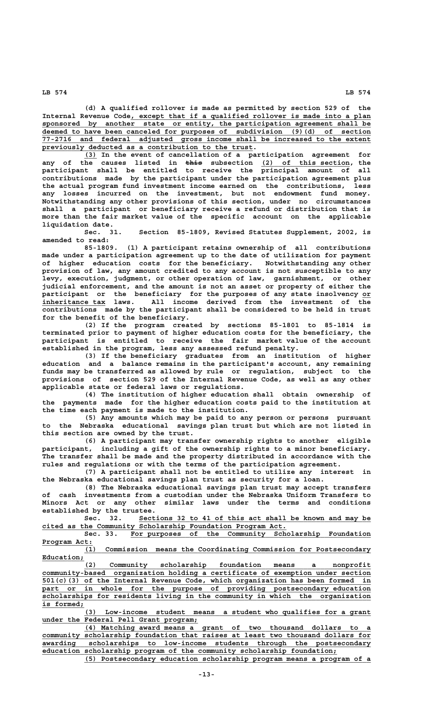**(d) A qualified rollover is made as permitted by section 529 of the** Internal Revenue Code, except that if a qualified rollover is made into a plan  **\_\_\_\_\_\_\_\_\_\_\_\_\_\_\_\_\_\_\_\_\_\_\_\_\_\_\_\_\_\_\_\_\_\_\_\_\_\_\_\_\_\_\_\_\_\_\_\_\_\_\_\_\_\_\_\_\_\_\_\_\_\_\_\_\_\_\_\_\_\_\_\_\_\_\_\_\_\_ sponsored by another state or entity, the participation agreement shall be \_\_\_\_\_\_\_\_\_\_\_\_\_\_\_\_\_\_\_\_\_\_\_\_\_\_\_\_\_\_\_\_\_\_\_\_\_\_\_\_\_\_\_\_\_\_\_\_\_\_\_\_\_\_\_\_\_\_\_\_\_\_\_\_\_\_\_\_\_\_\_\_\_\_\_\_\_\_ deemed to have been canceled for purposes of subdivision (9)(d) of section \_\_\_\_\_\_\_\_\_\_\_\_\_\_\_\_\_\_\_\_\_\_\_\_\_\_\_\_\_\_\_\_\_\_\_\_\_\_\_\_\_\_\_\_\_\_\_\_\_\_\_\_\_\_\_\_\_\_\_\_\_\_\_\_\_\_\_\_\_\_\_\_\_\_\_\_\_\_ 77-2716 and federal adjusted gross income shall be increased to the extent \_\_\_\_\_\_\_\_\_\_\_\_\_\_\_\_\_\_\_\_\_\_\_\_\_\_\_\_\_\_\_\_\_\_\_\_\_\_\_\_\_\_\_\_\_\_\_\_\_\_ previously deducted as a contribution to the trust.**

 **\_\_\_ (3) In the event of cancellation of a participation agreement for ———— \_\_\_\_\_\_\_\_\_\_\_\_\_\_\_\_\_\_\_\_\_ any of the causes listed in this subsection (2) of this section, the participant shall be entitled to receive the principal amount of all contributions made by the participant under the participation agreement plus the actual program fund investment income earned on the contributions, less any losses incurred on the investment, but not endowment fund money. Notwithstanding any other provisions of this section, under no circumstances shall a participant or beneficiary receive a refund or distribution that is more than the fair market value of the specific account on the applicable liquidation date.**

**Sec. 31. Section 85-1809, Revised Statutes Supplement, 2002, is amended to read:**

**85-1809. (1) A participant retains ownership of all contributions made under a participation agreement up to the date of utilization for payment of higher education costs for the beneficiary. Notwithstanding any other provision of law, any amount credited to any account is not susceptible to any levy, execution, judgment, or other operation of law, garnishment, or other judicial enforcement, and the amount is not an asset or property of either the** participant or the beneficiary for the purposes of any state insolvency or  **\_\_\_\_\_\_\_\_\_\_\_\_\_\_\_ inheritance tax laws. All income derived from the investment of the contributions made by the participant shall be considered to be held in trust for the benefit of the beneficiary.**

**(2) If the program created by sections 85-1801 to 85-1814 is terminated prior to payment of higher education costs for the beneficiary, the participant is entitled to receive the fair market value of the account established in the program, less any assessed refund penalty.**

**(3) If the beneficiary graduates from an institution of higher education and a balance remains in the participant's account, any remaining funds may be transferred as allowed by rule or regulation, subject to the provisions of section 529 of the Internal Revenue Code, as well as any other applicable state or federal laws or regulations.**

**(4) The institution of higher education shall obtain ownership of the payments made for the higher education costs paid to the institution at the time each payment is made to the institution.**

**(5) Any amounts which may be paid to any person or persons pursuant to the Nebraska educational savings plan trust but which are not listed in this section are owned by the trust.**

**(6) A participant may transfer ownership rights to another eligible participant, including a gift of the ownership rights to a minor beneficiary. The transfer shall be made and the property distributed in accordance with the rules and regulations or with the terms of the participation agreement.**

**(7) A participant shall not be entitled to utilize any interest in the Nebraska educational savings plan trust as security for a loan.**

**(8) The Nebraska educational savings plan trust may accept transfers of cash investments from a custodian under the Nebraska Uniform Transfers to Minors Act or any other similar laws under the terms and conditions established by the trustee.**

Sec. 32. Sections 32 to 41 of this act shall be known and may be  **\_\_\_\_\_\_\_\_\_\_\_\_\_\_\_\_\_\_\_\_\_\_\_\_\_\_\_\_\_\_\_\_\_\_\_\_\_\_\_\_\_\_\_\_\_\_\_\_\_\_\_\_\_\_\_\_\_\_ cited as the Community Scholarship Foundation Program Act.**

Sec. 33. For purposes of the Community Scholarship Foundation  **Program Act: \_\_\_\_\_\_\_\_\_\_\_\_**

 **\_\_\_\_\_\_\_\_\_\_\_\_\_\_\_\_\_\_\_\_\_\_\_\_\_\_\_\_\_\_\_\_\_\_\_\_\_\_\_\_\_\_\_\_\_\_\_\_\_\_\_\_\_\_\_\_\_\_\_\_\_\_\_\_\_\_\_\_ (1) Commission means the Coordinating Commission for Postsecondary Education; \_\_\_\_\_\_\_\_\_\_**

 **\_\_\_\_\_\_\_\_\_\_\_\_\_\_\_\_\_\_\_\_\_\_\_\_\_\_\_\_\_\_\_\_\_\_\_\_\_\_\_\_\_\_\_\_\_\_\_\_\_\_\_\_\_\_\_\_\_\_\_\_\_\_\_\_\_\_\_\_ (2) Community scholarship foundation means a nonprofit \_\_\_\_\_\_\_\_\_\_\_\_\_\_\_\_\_\_\_\_\_\_\_\_\_\_\_\_\_\_\_\_\_\_\_\_\_\_\_\_\_\_\_\_\_\_\_\_\_\_\_\_\_\_\_\_\_\_\_\_\_\_\_\_\_\_\_\_\_\_\_\_\_\_\_\_\_\_ community-based organization holding a certificate of exemption under section \_\_\_\_\_\_\_\_\_\_\_\_\_\_\_\_\_\_\_\_\_\_\_\_\_\_\_\_\_\_\_\_\_\_\_\_\_\_\_\_\_\_\_\_\_\_\_\_\_\_\_\_\_\_\_\_\_\_\_\_\_\_\_\_\_\_\_\_\_\_\_\_\_\_\_\_\_\_ 501(c)(3) of the Internal Revenue Code, which organization has been formed in \_\_\_\_\_\_\_\_\_\_\_\_\_\_\_\_\_\_\_\_\_\_\_\_\_\_\_\_\_\_\_\_\_\_\_\_\_\_\_\_\_\_\_\_\_\_\_\_\_\_\_\_\_\_\_\_\_\_\_\_\_\_\_\_\_\_\_\_\_\_\_\_\_\_\_\_\_\_ part or in whole for the purpose of providing postsecondary education \_\_\_\_\_\_\_\_\_\_\_\_\_\_\_\_\_\_\_\_\_\_\_\_\_\_\_\_\_\_\_\_\_\_\_\_\_\_\_\_\_\_\_\_\_\_\_\_\_\_\_\_\_\_\_\_\_\_\_\_\_\_\_\_\_\_\_\_\_\_\_\_\_\_\_\_\_\_ scholarships for residents living in the community in which the organization** is formed;

 **\_\_\_\_\_\_\_\_\_\_\_\_\_\_\_\_\_\_\_\_\_\_\_\_\_\_\_\_\_\_\_\_\_\_\_\_\_\_\_\_\_\_\_\_\_\_\_\_\_\_\_\_\_\_\_\_\_\_\_\_\_\_\_\_\_\_\_\_ (3) Low-income student means a student who qualifies for a grant \_\_\_\_\_\_\_\_\_\_\_\_\_\_\_\_\_\_\_\_\_\_\_\_\_\_\_\_\_\_\_\_\_\_\_\_\_ under the Federal Pell Grant program;**

 **\_\_\_\_\_\_\_\_\_\_\_\_\_\_\_\_\_\_\_\_\_\_\_\_\_\_\_\_\_\_\_\_\_\_\_\_\_\_\_\_\_\_\_\_\_\_\_\_\_\_\_\_\_\_\_\_\_\_\_\_\_\_\_\_\_\_\_\_ (4) Matching award means a grant of two thousand dollars to a \_\_\_\_\_\_\_\_\_\_\_\_\_\_\_\_\_\_\_\_\_\_\_\_\_\_\_\_\_\_\_\_\_\_\_\_\_\_\_\_\_\_\_\_\_\_\_\_\_\_\_\_\_\_\_\_\_\_\_\_\_\_\_\_\_\_\_\_\_\_\_\_\_\_\_\_\_\_ community scholarship foundation that raises at least two thousand dollars for \_\_\_\_\_\_\_\_\_\_\_\_\_\_\_\_\_\_\_\_\_\_\_\_\_\_\_\_\_\_\_\_\_\_\_\_\_\_\_\_\_\_\_\_\_\_\_\_\_\_\_\_\_\_\_\_\_\_\_\_\_\_\_\_\_\_\_\_\_\_\_\_\_\_\_\_\_\_ awarding scholarships to low-income students through the postsecondary \_\_\_\_\_\_\_\_\_\_\_\_\_\_\_\_\_\_\_\_\_\_\_\_\_\_\_\_\_\_\_\_\_\_\_\_\_\_\_\_\_\_\_\_\_\_\_\_\_\_\_\_\_\_\_\_\_\_\_\_\_\_\_\_\_\_\_\_\_\_ education scholarship program of the community scholarship foundation;**

 **\_\_\_\_\_\_\_\_\_\_\_\_\_\_\_\_\_\_\_\_\_\_\_\_\_\_\_\_\_\_\_\_\_\_\_\_\_\_\_\_\_\_\_\_\_\_\_\_\_\_\_\_\_\_\_\_\_\_\_\_\_\_\_\_\_\_\_\_ (5) Postsecondary education scholarship program means a program of a**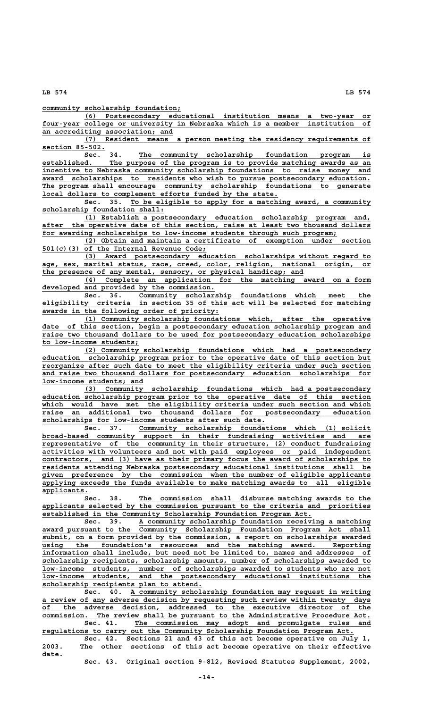**\_\_\_\_\_\_\_\_\_\_\_\_\_\_\_\_\_\_\_\_\_\_\_\_\_\_\_\_\_\_\_\_\_ community scholarship foundation;**

 **\_\_\_\_\_\_\_\_\_\_\_\_\_\_\_\_\_\_\_\_\_\_\_\_\_\_\_\_\_\_\_\_\_\_\_\_\_\_\_\_\_\_\_\_\_\_\_\_\_\_\_\_\_\_\_\_\_\_\_\_\_\_\_\_\_\_\_\_ (6) Postsecondary educational institution means a two-year or \_\_\_\_\_\_\_\_\_\_\_\_\_\_\_\_\_\_\_\_\_\_\_\_\_\_\_\_\_\_\_\_\_\_\_\_\_\_\_\_\_\_\_\_\_\_\_\_\_\_\_\_\_\_\_\_\_\_\_\_\_\_\_\_\_\_\_\_\_\_\_\_\_\_\_\_\_\_ four-year college or university in Nebraska which is a member institution of \_\_\_\_\_\_\_\_\_\_\_\_\_\_\_\_\_\_\_\_\_\_\_\_\_\_\_\_\_\_\_ an accrediting association; and**

 **\_\_\_\_\_\_\_\_\_\_\_\_\_\_\_\_\_\_\_\_\_\_\_\_\_\_\_\_\_\_\_\_\_\_\_\_\_\_\_\_\_\_\_\_\_\_\_\_\_\_\_\_\_\_\_\_\_\_\_\_\_\_\_\_\_\_\_\_ (7) Resident means a person meeting the residency requirements of section 85-502. \_\_\_\_\_\_\_\_\_\_\_\_\_\_\_**

Sec. 34. The community scholarship foundation program is  **\_\_\_\_\_\_\_\_\_\_\_\_\_\_\_\_\_\_\_\_\_\_\_\_\_\_\_\_\_\_\_\_\_\_\_\_\_\_\_\_\_\_\_\_\_\_\_\_\_\_\_\_\_\_\_\_\_\_\_\_\_\_\_\_\_\_\_\_\_\_\_\_\_\_\_\_\_\_ established. The purpose of the program is to provide matching awards as an \_\_\_\_\_\_\_\_\_\_\_\_\_\_\_\_\_\_\_\_\_\_\_\_\_\_\_\_\_\_\_\_\_\_\_\_\_\_\_\_\_\_\_\_\_\_\_\_\_\_\_\_\_\_\_\_\_\_\_\_\_\_\_\_\_\_\_\_\_\_\_\_\_\_\_\_\_\_ incentive to Nebraska community scholarship foundations to raise money and** award scholarships to residents who wish to pursue postsecondary education. The program shall encourage community scholarship foundations to generate  **\_\_\_\_\_\_\_\_\_\_\_\_\_\_\_\_\_\_\_\_\_\_\_\_\_\_\_\_\_\_\_\_\_\_\_\_\_\_\_\_\_\_\_\_\_\_\_\_\_\_\_\_\_\_\_\_ local dollars to complement efforts funded by the state.**

 **\_\_\_\_\_\_\_\_\_\_\_\_\_\_\_\_\_\_\_\_\_\_\_\_\_\_\_\_\_\_\_\_\_\_\_\_\_\_\_\_\_\_\_\_\_\_\_\_\_\_\_\_\_\_\_\_\_ Sec. 35. To be eligible to apply for a matching award, a community \_\_\_\_\_\_\_\_\_\_\_\_\_\_\_\_\_\_\_\_\_\_\_\_\_\_\_\_\_ scholarship foundation shall:**

 **\_\_\_\_\_\_\_\_\_\_\_\_\_\_\_\_\_\_\_\_\_\_\_\_\_\_\_\_\_\_\_\_\_\_\_\_\_\_\_\_\_\_\_\_\_\_\_\_\_\_\_\_\_\_\_\_\_\_\_\_\_\_\_\_\_\_\_\_ (1) Establish a postsecondary education scholarship program and, \_\_\_\_\_\_\_\_\_\_\_\_\_\_\_\_\_\_\_\_\_\_\_\_\_\_\_\_\_\_\_\_\_\_\_\_\_\_\_\_\_\_\_\_\_\_\_\_\_\_\_\_\_\_\_\_\_\_\_\_\_\_\_\_\_\_\_\_\_\_\_\_\_\_\_\_\_\_ after the operative date of this section, raise at least two thousand dollars \_\_\_\_\_\_\_\_\_\_\_\_\_\_\_\_\_\_\_\_\_\_\_\_\_\_\_\_\_\_\_\_\_\_\_\_\_\_\_\_\_\_\_\_\_\_\_\_\_\_\_\_\_\_\_\_\_\_\_\_\_\_\_\_\_\_\_\_\_\_ for awarding scholarships to low-income students through such program;**

 **\_\_\_\_\_\_\_\_\_\_\_\_\_\_\_\_\_\_\_\_\_\_\_\_\_\_\_\_\_\_\_\_\_\_\_\_\_\_\_\_\_\_\_\_\_\_\_\_\_\_\_\_\_\_\_\_\_\_\_\_\_\_\_\_\_\_\_\_ (2) Obtain and maintain a certificate of exemption under section \_\_\_\_\_\_\_\_\_\_\_\_\_\_\_\_\_\_\_\_\_\_\_\_\_\_\_\_\_\_\_\_\_\_\_\_\_\_\_ 501(c)(3) of the Internal Revenue Code;**

 **\_\_\_\_\_\_\_\_\_\_\_\_\_\_\_\_\_\_\_\_\_\_\_\_\_\_\_\_\_\_\_\_\_\_\_\_\_\_\_\_\_\_\_\_\_\_\_\_\_\_\_\_\_\_\_\_\_\_\_\_\_\_\_\_\_\_\_\_ (3) Award postsecondary education scholarships without regard to \_\_\_\_\_\_\_\_\_\_\_\_\_\_\_\_\_\_\_\_\_\_\_\_\_\_\_\_\_\_\_\_\_\_\_\_\_\_\_\_\_\_\_\_\_\_\_\_\_\_\_\_\_\_\_\_\_\_\_\_\_\_\_\_\_\_\_\_\_\_\_\_\_\_\_\_\_\_ age, sex, marital status, race, creed, color, religion, national origin, or \_\_\_\_\_\_\_\_\_\_\_\_\_\_\_\_\_\_\_\_\_\_\_\_\_\_\_\_\_\_\_\_\_\_\_\_\_\_\_\_\_\_\_\_\_\_\_\_\_\_\_\_\_\_\_\_\_\_\_\_\_\_ the presence of any mental, sensory, or physical handicap; and**

> **\_\_\_\_\_\_\_\_\_\_\_\_\_\_\_\_\_\_\_\_\_\_\_\_\_\_\_\_\_\_\_\_\_\_\_\_\_\_\_\_\_\_\_\_\_\_\_\_\_\_\_\_\_\_\_\_\_\_\_\_\_\_\_\_\_\_\_\_ (4) Complete an application for the matching award on a form \_\_\_\_\_\_\_\_\_\_\_\_\_\_\_\_\_\_\_\_\_\_\_\_\_\_\_\_\_\_\_\_\_\_\_\_\_\_\_\_\_ developed and provided by the commission.**

 **\_\_\_\_\_\_\_\_\_\_\_\_\_\_\_\_\_\_\_\_\_\_\_\_\_\_\_\_\_\_\_\_\_\_\_\_\_\_\_\_\_\_\_\_\_\_\_\_\_\_\_\_\_\_\_ Sec. 36. Community scholarship foundations which meet the \_\_\_\_\_\_\_\_\_\_\_\_\_\_\_\_\_\_\_\_\_\_\_\_\_\_\_\_\_\_\_\_\_\_\_\_\_\_\_\_\_\_\_\_\_\_\_\_\_\_\_\_\_\_\_\_\_\_\_\_\_\_\_\_\_\_\_\_\_\_\_\_\_\_\_\_\_\_ eligibility criteria in section 35 of this act will be selected for matching \_\_\_\_\_\_\_\_\_\_\_\_\_\_\_\_\_\_\_\_\_\_\_\_\_\_\_\_\_\_\_\_\_\_\_\_\_\_\_\_\_\_ awards in the following order of priority:**

 **\_\_\_\_\_\_\_\_\_\_\_\_\_\_\_\_\_\_\_\_\_\_\_\_\_\_\_\_\_\_\_\_\_\_\_\_\_\_\_\_\_\_\_\_\_\_\_\_\_\_\_\_\_\_\_\_\_\_\_\_\_\_\_\_\_\_\_\_ (1) Community scholarship foundations which, after the operative \_\_\_\_\_\_\_\_\_\_\_\_\_\_\_\_\_\_\_\_\_\_\_\_\_\_\_\_\_\_\_\_\_\_\_\_\_\_\_\_\_\_\_\_\_\_\_\_\_\_\_\_\_\_\_\_\_\_\_\_\_\_\_\_\_\_\_\_\_\_\_\_\_\_\_\_\_\_ date of this section, begin a postsecondary education scholarship program and \_\_\_\_\_\_\_\_\_\_\_\_\_\_\_\_\_\_\_\_\_\_\_\_\_\_\_\_\_\_\_\_\_\_\_\_\_\_\_\_\_\_\_\_\_\_\_\_\_\_\_\_\_\_\_\_\_\_\_\_\_\_\_\_\_\_\_\_\_\_\_\_\_\_\_\_\_\_ raise two thousand dollars to be used for postsecondary education scholarships \_\_\_\_\_\_\_\_\_\_\_\_\_\_\_\_\_\_\_\_\_\_\_ to low-income students;**

 **\_\_\_\_\_\_\_\_\_\_\_\_\_\_\_\_\_\_\_\_\_\_\_\_\_\_\_\_\_\_\_\_\_\_\_\_\_\_\_\_\_\_\_\_\_\_\_\_\_\_\_\_\_\_\_\_\_\_\_\_\_\_\_\_\_\_\_\_ (2) Community scholarship foundations which had a postsecondary \_\_\_\_\_\_\_\_\_\_\_\_\_\_\_\_\_\_\_\_\_\_\_\_\_\_\_\_\_\_\_\_\_\_\_\_\_\_\_\_\_\_\_\_\_\_\_\_\_\_\_\_\_\_\_\_\_\_\_\_\_\_\_\_\_\_\_\_\_\_\_\_\_\_\_\_\_\_ education scholarship program prior to the operative date of this section but \_\_\_\_\_\_\_\_\_\_\_\_\_\_\_\_\_\_\_\_\_\_\_\_\_\_\_\_\_\_\_\_\_\_\_\_\_\_\_\_\_\_\_\_\_\_\_\_\_\_\_\_\_\_\_\_\_\_\_\_\_\_\_\_\_\_\_\_\_\_\_\_\_\_\_\_\_\_ reorganize after such date to meet the eligibility criteria under such section \_\_\_\_\_\_\_\_\_\_\_\_\_\_\_\_\_\_\_\_\_\_\_\_\_\_\_\_\_\_\_\_\_\_\_\_\_\_\_\_\_\_\_\_\_\_\_\_\_\_\_\_\_\_\_\_\_\_\_\_\_\_\_\_\_\_\_\_\_\_\_\_\_\_\_\_\_\_ and raise two thousand dollars for postsecondary education scholarships for \_\_\_\_\_\_\_\_\_\_\_\_\_\_\_\_\_\_\_\_\_\_\_\_ low-income students; and**

 **\_\_\_\_\_\_\_\_\_\_\_\_\_\_\_\_\_\_\_\_\_\_\_\_\_\_\_\_\_\_\_\_\_\_\_\_\_\_\_\_\_\_\_\_\_\_\_\_\_\_\_\_\_\_\_\_\_\_\_\_\_\_\_\_\_\_\_\_ (3) Community scholarship foundations which had a postsecondary \_\_\_\_\_\_\_\_\_\_\_\_\_\_\_\_\_\_\_\_\_\_\_\_\_\_\_\_\_\_\_\_\_\_\_\_\_\_\_\_\_\_\_\_\_\_\_\_\_\_\_\_\_\_\_\_\_\_\_\_\_\_\_\_\_\_\_\_\_\_\_\_\_\_\_\_\_\_ education scholarship program prior to the operative date of this section** which would have met the eligibility criteria under such section and which  **\_\_\_\_\_\_\_\_\_\_\_\_\_\_\_\_\_\_\_\_\_\_\_\_\_\_\_\_\_\_\_\_\_\_\_\_\_\_\_\_\_\_\_\_\_\_\_\_\_\_\_\_\_\_\_\_\_\_\_\_\_\_\_\_\_\_\_\_\_\_\_\_\_\_\_\_\_\_ raise an additional two thousand dollars for postsecondary education \_\_\_\_\_\_\_\_\_\_\_\_\_\_\_\_\_\_\_\_\_\_\_\_\_\_\_\_\_\_\_\_\_\_\_\_\_\_\_\_\_\_\_\_\_\_\_\_\_\_\_\_\_ scholarships for low-income students after such date.**

 **\_\_\_\_\_\_\_\_\_\_\_\_\_\_\_\_\_\_\_\_\_\_\_\_\_\_\_\_\_\_\_\_\_\_\_\_\_\_\_\_\_\_\_\_\_\_\_\_\_\_\_\_\_\_\_ Sec. 37. Community scholarship foundations which (1) solicit \_\_\_\_\_\_\_\_\_\_\_\_\_\_\_\_\_\_\_\_\_\_\_\_\_\_\_\_\_\_\_\_\_\_\_\_\_\_\_\_\_\_\_\_\_\_\_\_\_\_\_\_\_\_\_\_\_\_\_\_\_\_\_\_\_\_\_\_\_\_\_\_\_\_\_\_\_\_ broad-based community support in their fundraising activities and are \_\_\_\_\_\_\_\_\_\_\_\_\_\_\_\_\_\_\_\_\_\_\_\_\_\_\_\_\_\_\_\_\_\_\_\_\_\_\_\_\_\_\_\_\_\_\_\_\_\_\_\_\_\_\_\_\_\_\_\_\_\_\_\_\_\_\_\_\_\_\_\_\_\_\_\_\_\_ representative of the community in their structure, (2) conduct fundraising \_\_\_\_\_\_\_\_\_\_\_\_\_\_\_\_\_\_\_\_\_\_\_\_\_\_\_\_\_\_\_\_\_\_\_\_\_\_\_\_\_\_\_\_\_\_\_\_\_\_\_\_\_\_\_\_\_\_\_\_\_\_\_\_\_\_\_\_\_\_\_\_\_\_\_\_\_\_ activities with volunteers and not with paid employees or paid independent \_\_\_\_\_\_\_\_\_\_\_\_\_\_\_\_\_\_\_\_\_\_\_\_\_\_\_\_\_\_\_\_\_\_\_\_\_\_\_\_\_\_\_\_\_\_\_\_\_\_\_\_\_\_\_\_\_\_\_\_\_\_\_\_\_\_\_\_\_\_\_\_\_\_\_\_\_\_ contractors, and (3) have as their primary focus the award of scholarships to \_\_\_\_\_\_\_\_\_\_\_\_\_\_\_\_\_\_\_\_\_\_\_\_\_\_\_\_\_\_\_\_\_\_\_\_\_\_\_\_\_\_\_\_\_\_\_\_\_\_\_\_\_\_\_\_\_\_\_\_\_\_\_\_\_\_\_\_\_\_\_\_\_\_\_\_\_\_ residents attending Nebraska postsecondary educational institutions shall be \_\_\_\_\_\_\_\_\_\_\_\_\_\_\_\_\_\_\_\_\_\_\_\_\_\_\_\_\_\_\_\_\_\_\_\_\_\_\_\_\_\_\_\_\_\_\_\_\_\_\_\_\_\_\_\_\_\_\_\_\_\_\_\_\_\_\_\_\_\_\_\_\_\_\_\_\_\_ given preference by the commission when the number of eligible applicants \_\_\_\_\_\_\_\_\_\_\_\_\_\_\_\_\_\_\_\_\_\_\_\_\_\_\_\_\_\_\_\_\_\_\_\_\_\_\_\_\_\_\_\_\_\_\_\_\_\_\_\_\_\_\_\_\_\_\_\_\_\_\_\_\_\_\_\_\_\_\_\_\_\_\_\_\_\_ applying exceeds the funds available to make matching awards to all eligible applicants. \_\_\_\_\_\_\_\_\_\_\_**

 $\overline{S}$ ec. 38. The commission shall disburse matching awards to the  **\_\_\_\_\_\_\_\_\_\_\_\_\_\_\_\_\_\_\_\_\_\_\_\_\_\_\_\_\_\_\_\_\_\_\_\_\_\_\_\_\_\_\_\_\_\_\_\_\_\_\_\_\_\_\_\_\_\_\_\_\_\_\_\_\_\_\_\_\_\_\_\_\_\_\_\_\_\_ applicants selected by the commission pursuant to the criteria and priorities \_\_\_\_\_\_\_\_\_\_\_\_\_\_\_\_\_\_\_\_\_\_\_\_\_\_\_\_\_\_\_\_\_\_\_\_\_\_\_\_\_\_\_\_\_\_\_\_\_\_\_\_\_\_\_\_\_\_\_\_\_\_\_\_ established in the Community Scholarship Foundation Program Act.**

Sec. 39. A community scholarship foundation receiving a matching award pursuant to the Community Scholarship Foundation Program Act shall  **\_\_\_\_\_\_\_\_\_\_\_\_\_\_\_\_\_\_\_\_\_\_\_\_\_\_\_\_\_\_\_\_\_\_\_\_\_\_\_\_\_\_\_\_\_\_\_\_\_\_\_\_\_\_\_\_\_\_\_\_\_\_\_\_\_\_\_\_\_\_\_\_\_\_\_\_\_\_ submit, on a form provided by the commission, a report on scholarships awarded** using the foundation's resources and the matching award. Reporting  **\_\_\_\_\_\_\_\_\_\_\_\_\_\_\_\_\_\_\_\_\_\_\_\_\_\_\_\_\_\_\_\_\_\_\_\_\_\_\_\_\_\_\_\_\_\_\_\_\_\_\_\_\_\_\_\_\_\_\_\_\_\_\_\_\_\_\_\_\_\_\_\_\_\_\_\_\_\_ information shall include, but need not be limited to, names and addresses of \_\_\_\_\_\_\_\_\_\_\_\_\_\_\_\_\_\_\_\_\_\_\_\_\_\_\_\_\_\_\_\_\_\_\_\_\_\_\_\_\_\_\_\_\_\_\_\_\_\_\_\_\_\_\_\_\_\_\_\_\_\_\_\_\_\_\_\_\_\_\_\_\_\_\_\_\_\_ scholarship recipients, scholarship amounts, number of scholarships awarded to \_\_\_\_\_\_\_\_\_\_\_\_\_\_\_\_\_\_\_\_\_\_\_\_\_\_\_\_\_\_\_\_\_\_\_\_\_\_\_\_\_\_\_\_\_\_\_\_\_\_\_\_\_\_\_\_\_\_\_\_\_\_\_\_\_\_\_\_\_\_\_\_\_\_\_\_\_\_ low-income students, number of scholarships awarded to students who are not**  $low\text{-}income$  students, and the postsecondary educational institutions the  **\_\_\_\_\_\_\_\_\_\_\_\_\_\_\_\_\_\_\_\_\_\_\_\_\_\_\_\_\_\_\_\_\_\_\_\_\_\_ scholarship recipients plan to attend.**

 **\_\_\_\_\_\_\_\_\_\_\_\_\_\_\_\_\_\_\_\_\_\_\_\_\_\_\_\_\_\_\_\_\_\_\_\_\_\_\_\_\_\_\_\_\_\_\_\_\_\_\_\_\_\_\_\_\_ Sec. 40. A community scholarship foundation may request in writing \_\_\_\_\_\_\_\_\_\_\_\_\_\_\_\_\_\_\_\_\_\_\_\_\_\_\_\_\_\_\_\_\_\_\_\_\_\_\_\_\_\_\_\_\_\_\_\_\_\_\_\_\_\_\_\_\_\_\_\_\_\_\_\_\_\_\_\_\_\_\_\_\_\_\_\_\_\_ a review of any adverse decision by requesting such review within twenty days \_\_\_\_\_\_\_\_\_\_\_\_\_\_\_\_\_\_\_\_\_\_\_\_\_\_\_\_\_\_\_\_\_\_\_\_\_\_\_\_\_\_\_\_\_\_\_\_\_\_\_\_\_\_\_\_\_\_\_\_\_\_\_\_\_\_\_\_\_\_\_\_\_\_\_\_\_\_ of the adverse decision, addressed to the executive director of the \_\_\_\_\_\_\_\_\_\_\_\_\_\_\_\_\_\_\_\_\_\_\_\_\_\_\_\_\_\_\_\_\_\_\_\_\_\_\_\_\_\_\_\_\_\_\_\_\_\_\_\_\_\_\_\_\_\_\_\_\_\_\_\_\_\_\_\_\_\_\_\_\_\_\_\_\_\_ commission. The review shall be pursuant to the Administrative Procedure Act.** Sec. 41. The commission may adopt and promulgate rules and

 **\_\_\_\_\_\_\_\_\_\_\_\_\_\_\_\_\_\_\_\_\_\_\_\_\_\_\_\_\_\_\_\_\_\_\_\_\_\_\_\_\_\_\_\_\_\_\_\_\_\_\_\_\_\_\_\_\_\_\_\_\_\_\_\_\_\_\_\_\_\_\_\_\_\_ regulations to carry out the Community Scholarship Foundation Program Act. Sec. 42. Sections 21 and 43 of this act become operative on July 1,**

**2003. The other sections of this act become operative on their effective date.**

**Sec. 43. Original section 9-812, Revised Statutes Supplement, 2002,**